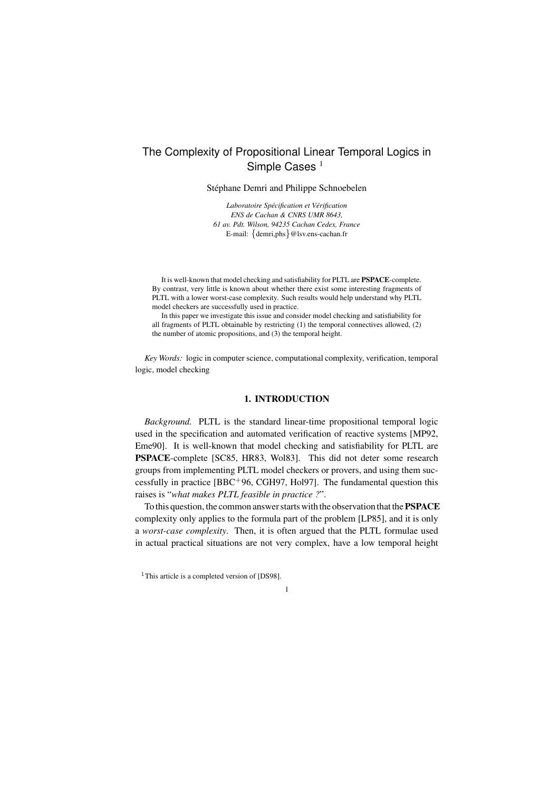# The Complexity of Propositional Linear Temporal Logics in Simple Cases<sup>1</sup>

Stéphane Demri and Philippe Schnoebelen

*Laboratoire Specification ´ et Verification ´ ENS de Cachan & CNRS UMR 8643, 61 av. Pdt. Wilson, 94235 Cachan Cedex, France* E-mail: {demri,phs}@lsv.ens-cachan.fr

It is well-known that model checking and satisfiability for PLTL are **PSPACE**-complete. By contrast, very little is known about whether there exist some interesting fragments of PLTL with a lower worst-case complexity. Such results would help understand why PLTL model checkers are successfully used in practice.

In this paper we investigate this issue and consider model checking and satisfiability for all fragments of PLTL obtainable by restricting (1) the temporal connectives allowed, (2) the number of atomic propositions, and (3) the temporal height.

*Key Words:* logic in computer science, computational complexity, verification, temporal logic, model checking

## **1. INTRODUCTION**

*Background.* PLTL is the standard linear-time propositional temporal logic used in the specification and automated verification of reactive systems [MP92, Eme90]. It is well-known that model checking and satisfiability for PLTL are **PSPACE**-complete [SC85, HR83, Wol83]. This did not deter some research groups from implementing PLTL model checkers or provers, and using them successfully in practice [BBC<sup>+</sup>96, CGH97, Hol97]. The fundamental question this raises is "*what makes PLTL feasible in practice ?*".

To this question, the common answerstartswith the observation that the**PSPACE** complexity only applies to the formula part of the problem [LP85], and it is only a *worst-case complexity*. Then, it is often argued that the PLTL formulae used in actual practical situations are not very complex, have a low temporal height

1

<sup>&</sup>lt;sup>1</sup>This article is a completed version of [DS98].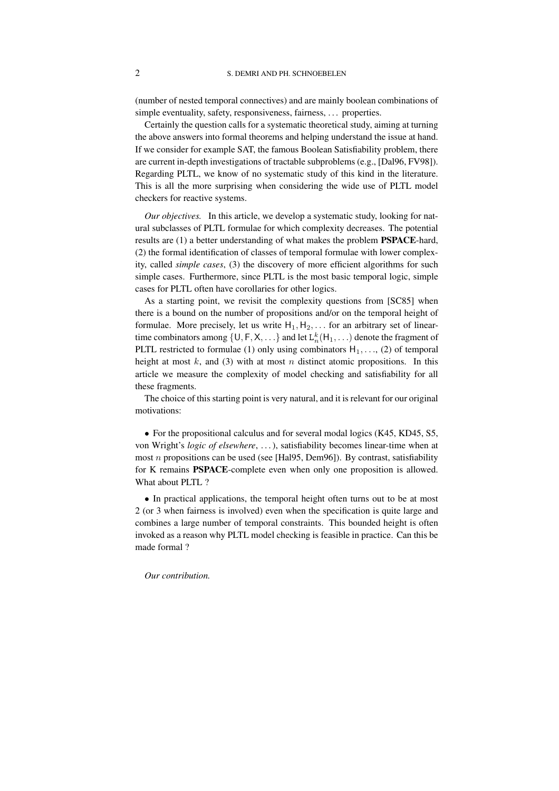(number of nested temporal connectives) and are mainly boolean combinations of simple eventuality, safety, responsiveness, fairness, ... properties.

Certainly the question calls for a systematic theoretical study, aiming at turning the above answers into formal theorems and helping understand the issue at hand. If we consider for example SAT, the famous Boolean Satisfiability problem, there are current in-depth investigations of tractable subproblems (e.g., [Dal96, FV98]). Regarding PLTL, we know of no systematic study of this kind in the literature. This is all the more surprising when considering the wide use of PLTL model checkers for reactive systems.

*Our objectives.* In this article, we develop a systematic study, looking for natural subclasses of PLTL formulae for which complexity decreases. The potential results are (1) a better understanding of what makes the problem **PSPACE**-hard, (2) the formal identification of classes of temporal formulae with lower complexity, called *simple cases*, (3) the discovery of more efficient algorithms for such simple cases. Furthermore, since PLTL is the most basic temporal logic, simple cases for PLTL often have corollaries for other logics.

As a starting point, we revisit the complexity questions from [SC85] when there is a bound on the number of propositions and/or on the temporal height of formulae. More precisely, let us write  $H_1, H_2, \ldots$  for an arbitrary set of lineartime combinators among  $\{\mathsf{U},\mathsf{F},\mathsf{X},\ldots\}$  and let  $\mathtt{L}_n^k(\mathsf{H}_1,\ldots)$  denote the fragment of PLTL restricted to formulae (1) only using combinators  $H_1, \ldots, (2)$  of temporal height at most  $k$ , and (3) with at most  $n$  distinct atomic propositions. In this article we measure the complexity of model checking and satisfiability for all these fragments.

The choice of this starting point is very natural, and it is relevant for our original motivations:

• For the propositional calculus and for several modal logics (K45, KD45, S5, von Wright's *logic of elsewhere*, . . .), satisfiability becomes linear-time when at most n propositions can be used (see [Hal $95$ , Dem $96$ ]). By contrast, satisfiability for K remains **PSPACE**-complete even when only one proposition is allowed. What about PLTL ?

• In practical applications, the temporal height often turns out to be at most 2 (or 3 when fairness is involved) even when the specification is quite large and combines a large number of temporal constraints. This bounded height is often invoked as a reason why PLTL model checking is feasible in practice. Can this be made formal ?

#### *Our contribution.*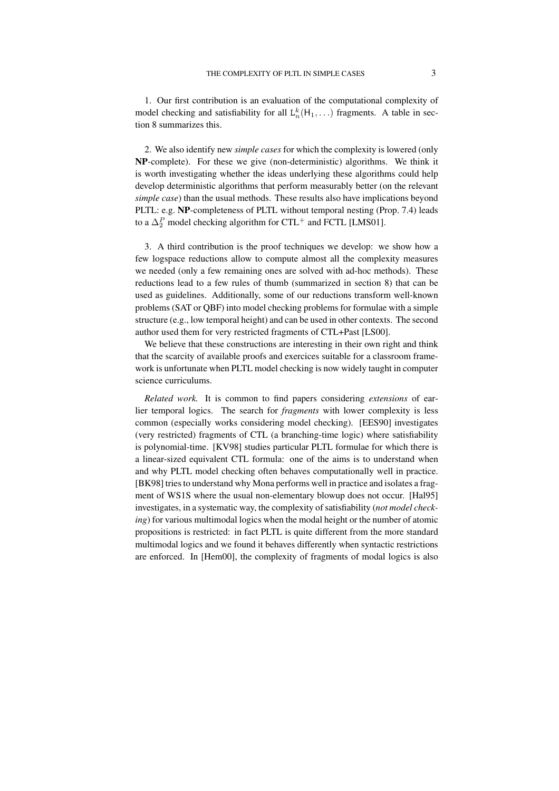1. Our first contribution is an evaluation of the computational complexity of model checking and satisfiability for all  $L_n^k(H_1, \ldots)$  fragments. A table in section 8 summarizes this.

2. We also identify new *simple cases* for which the complexity is lowered (only **NP**-complete). For these we give (non-deterministic) algorithms. We think it is worth investigating whether the ideas underlying these algorithms could help develop deterministic algorithms that perform measurably better (on the relevant *simple case*) than the usual methods. These results also have implications beyond PLTL: e.g. **NP**-completeness of PLTL without temporal nesting (Prop. 7.4) leads to a  $\Delta_2^P$  model checking algorithm for CTL<sup>+</sup> and FCTL [LMS01].

3. A third contribution is the proof techniques we develop: we show how a few logspace reductions allow to compute almost all the complexity measures we needed (only a few remaining ones are solved with ad-hoc methods). These reductions lead to a few rules of thumb (summarized in section 8) that can be used as guidelines. Additionally, some of our reductions transform well-known problems (SAT or QBF) into model checking problems for formulae with a simple structure (e.g., low temporal height) and can be used in other contexts. The second author used them for very restricted fragments of CTL+Past [LS00].

We believe that these constructions are interesting in their own right and think that the scarcity of available proofs and exercices suitable for a classroom framework is unfortunate when PLTL model checking is now widely taught in computer science curriculums.

*Related work.* It is common to find papers considering *extensions* of earlier temporal logics. The search for *fragments* with lower complexity is less common (especially works considering model checking). [EES90] investigates (very restricted) fragments of CTL (a branching-time logic) where satisfiability is polynomial-time. [KV98] studies particular PLTL formulae for which there is a linear-sized equivalent CTL formula: one of the aims is to understand when and why PLTL model checking often behaves computationally well in practice. [BK98] tries to understand why Mona performs well in practice and isolates a fragment of WS1S where the usual non-elementary blowup does not occur. [Hal95] investigates, in a systematic way, the complexity of satisfiability (*not model checking*) for various multimodal logics when the modal height or the number of atomic propositions is restricted: in fact PLTL is quite different from the more standard multimodal logics and we found it behaves differently when syntactic restrictions are enforced. In [Hem00], the complexity of fragments of modal logics is also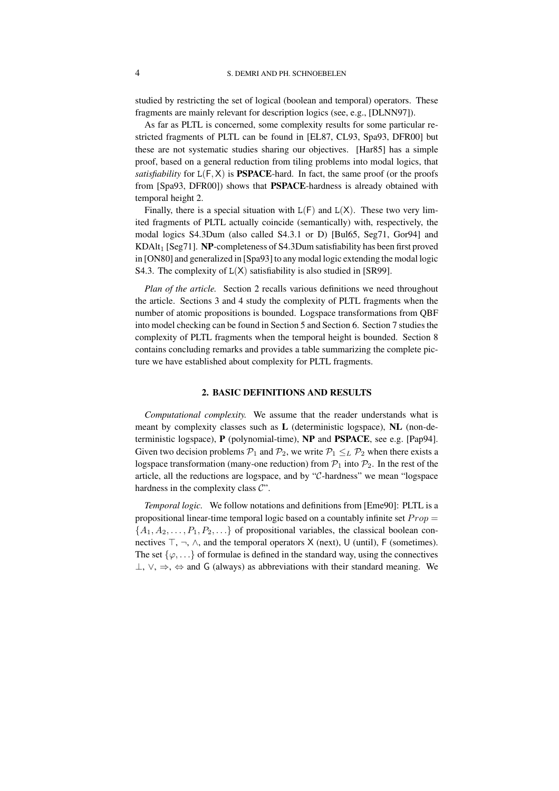studied by restricting the set of logical (boolean and temporal) operators. These fragments are mainly relevant for description logics (see, e.g., [DLNN97]).

As far as PLTL is concerned, some complexity results for some particular restricted fragments of PLTL can be found in [EL87, CL93, Spa93, DFR00] but these are not systematic studies sharing our objectives. [Har85] has a simple proof, based on a general reduction from tiling problems into modal logics, that *satisfiability* for  $L(F, X)$  is **PSPACE**-hard. In fact, the same proof (or the proofs from [Spa93, DFR00]) shows that **PSPACE**-hardness is already obtained with temporal height 2.

Finally, there is a special situation with  $L(F)$  and  $L(X)$ . These two very limited fragments of PLTL actually coincide (semantically) with, respectively, the modal logics S4.3Dum (also called S4.3.1 or D) [Bul65, Seg71, Gor94] and  $KDAlt_1$  [Seg71]. **NP**-completeness of S4.3Dum satisfiability has been first proved in  $[ON80]$  and generalized in  $[Spa93]$  to any modal logic extending the modal logic S4.3. The complexity of  $L(X)$  satisfiability is also studied in [SR99].

*Plan of the article.* Section 2 recalls various definitions we need throughout the article. Sections 3 and 4 study the complexity of PLTL fragments when the number of atomic propositions is bounded. Logspace transformations from QBF into model checking can be found in Section 5 and Section 6. Section 7 studies the complexity of PLTL fragments when the temporal height is bounded. Section 8 contains concluding remarks and provides a table summarizing the complete picture we have established about complexity for PLTL fragments.

## **2. BASIC DEFINITIONS AND RESULTS**

*Computational complexity.* We assume that the reader understands what is meant by complexity classes such as **L** (deterministic logspace), **NL** (non-deterministic logspace), **P** (polynomial-time), **NP** and **PSPACE**, see e.g. [Pap94]. Given two decision problems  $P_1$  and  $P_2$ , we write  $P_1 \leq_L P_2$  when there exists a logspace transformation (many-one reduction) from  $P_1$  into  $P_2$ . In the rest of the article, all the reductions are logspace, and by "C-hardness" we mean "logspace hardness in the complexity class  $\mathcal{C}$ ".

*Temporal logic.* We follow notations and definitions from [Eme90]: PLTL is a propositional linear-time temporal logic based on a countably infinite set  $Prop =$  ${A_1, A_2, \ldots, P_1, P_2, \ldots}$  of propositional variables, the classical boolean connectives  $\top$ ,  $\neg$ ,  $\wedge$ , and the temporal operators X (next), U (until), F (sometimes). The set  $\{\varphi, \ldots\}$  of formulae is defined in the standard way, using the connectives  $\perp$ ,  $\vee$ ,  $\Rightarrow$ ,  $\Leftrightarrow$  and G (always) as abbreviations with their standard meaning. We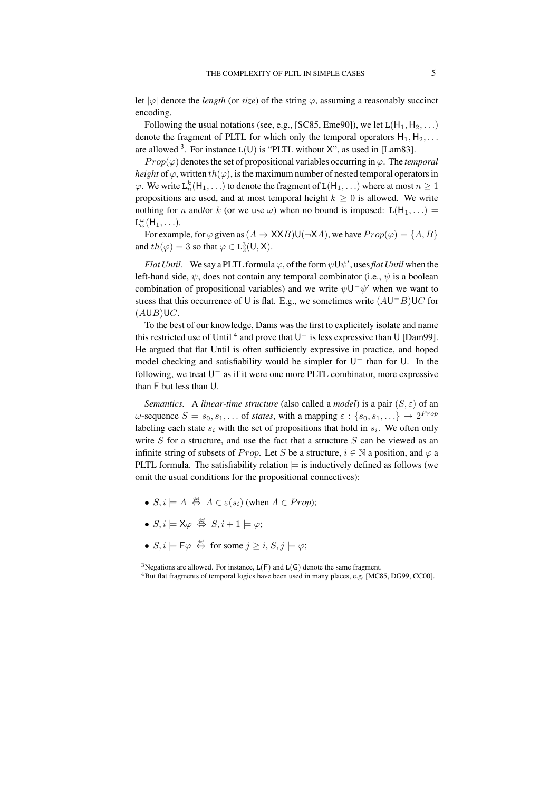let  $|\varphi|$  denote the *length* (or *size*) of the string  $\varphi$ , assuming a reasonably succinct encoding.

Following the usual notations (see, e.g., [SC85, Eme90]), we let  $L(H_1, H_2, ...)$ denote the fragment of PLTL for which only the temporal operators  $H_1, H_2, \ldots$ are allowed <sup>3</sup>. For instance  $L(U)$  is "PLTL without X", as used in [Lam83].

 $Prop(\varphi)$  denotes the set of propositional variables occurring in  $\varphi$ . The *temporal height* of  $\varphi$ , written th( $\varphi$ ), is the maximum number of nested temporal operators in  $\varphi$ . We write  $L_n^k(H_1, \ldots)$  to denote the fragment of  $L(H_1, \ldots)$  where at most  $n \geq 1$ propositions are used, and at most temporal height  $k \geq 0$  is allowed. We write nothing for n and/or k (or we use  $\omega$ ) when no bound is imposed:  $L(H_1, \ldots)$  =  $L^{\omega}_{\omega}(\mathsf{H}_1,\ldots).$ 

For example, for  $\varphi$  given as  $(A \Rightarrow XXB)U(\neg XA)$ , we have  $Prop(\varphi) = \{A, B\}$ and  $th(\varphi) = 3$  so that  $\varphi \in L_2^3(U, X)$ .

*Flat Until.* We say a PLTL formula  $\varphi$ , of the form  $\psi \cup \psi'$ , uses *flat Until* when the left-hand side,  $\psi$ , does not contain any temporal combinator (i.e.,  $\psi$  is a boolean combination of propositional variables) and we write  $\psi U^{\dagger} \psi'$  when we want to stress that this occurrence of U is flat. E.g., we sometimes write  $(AU^-B)UC$  for  $(AUB)UC.$ 

To the best of our knowledge, Dams was the first to explicitely isolate and name this restricted use of Until <sup>4</sup> and prove that  $U^-$  is less expressive than U [Dam99]. He argued that flat Until is often sufficiently expressive in practice, and hoped model checking and satisfiability would be simpler for  $U^-$  than for U. In the following, we treat  $U^-$  as if it were one more PLTL combinator, more expressive than F but less than U.

*Semantics.* A *linear-time structure* (also called a *model*) is a pair  $(S, \varepsilon)$  of an  $\omega$ -sequence  $S = s_0, s_1, \dots$  of *states*, with a mapping  $\varepsilon : \{s_0, s_1, \dots\} \to 2^{Prop}$ labeling each state  $s_i$  with the set of propositions that hold in  $s_i$ . We often only write  $S$  for a structure, and use the fact that a structure  $S$  can be viewed as an infinite string of subsets of Prop. Let S be a structure,  $i \in \mathbb{N}$  a position, and  $\varphi$  a PLTL formula. The satisfiability relation  $\models$  is inductively defined as follows (we omit the usual conditions for the propositional connectives):

- $S, i \models A \stackrel{\text{def}}{\Leftrightarrow} A \in \varepsilon(s_i)$  (when  $A \in Prop$ );
- $S, i \models \mathsf{X} \varphi \stackrel{\text{def}}{\Leftrightarrow} S, i + 1 \models \varphi;$
- $S, i \models \textsf{F}\varphi \stackrel{\text{def}}{\Leftrightarrow} \text{ for some } j \geq i, S, j \models \varphi;$

<sup>&</sup>lt;sup>3</sup>Negations are allowed. For instance,  $L(F)$  and  $L(G)$  denote the same fragment.

<sup>4</sup>But flat fragments of temporal logics have been used in many places, e.g. [MC85, DG99, CC00].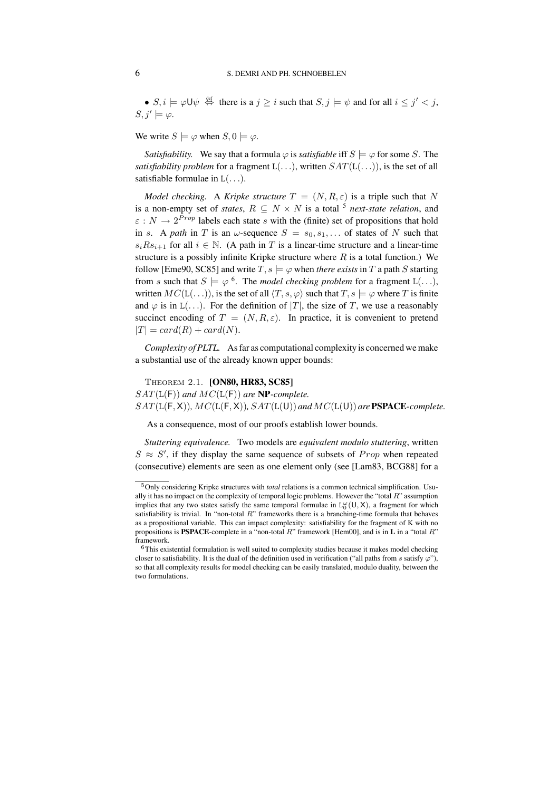•  $S, i \models \varphi \cup \psi \stackrel{\text{def}}{\Leftrightarrow}$  there is a  $j \geq i$  such that  $S, j \models \psi$  and for all  $i \leq j' < j$ ,  $S, j' \models \varphi.$ 

We write  $S \models \varphi$  when  $S, 0 \models \varphi$ .

*Satisfiability.* We say that a formula  $\varphi$  is *satisfiable* iff  $S \models \varphi$  for some S. The *satisfiability problem* for a fragment  $L(...)$ , written  $SAT(L(...))$ , is the set of all satisfiable formulae in  $L(\ldots)$ .

*Model checking.* A *Kripke structure*  $T = (N, R, \varepsilon)$  is a triple such that N is a non-empty set of *states*,  $R \subseteq N \times N$  is a total <sup>5</sup> *next-state relation*, and  $\varepsilon : N \to 2^{Prop}$  labels each state s with the (finite) set of propositions that hold in s. A *path* in T is an  $\omega$ -sequence  $S = s_0, s_1, \dots$  of states of N such that  $s_i R s_{i+1}$  for all  $i \in \mathbb{N}$ . (A path in T is a linear-time structure and a linear-time structure is a possibly infinite Kripke structure where  $R$  is a total function.) We follow [Eme90, SC85] and write  $T, s \models \varphi$  when *there exists* in  $T$  a path  $S$  starting from s such that  $S \models \varphi^6$ . The *model checking problem* for a fragment L(...), written  $MC(L(...))$ , is the set of all  $\langle T, s, \varphi \rangle$  such that  $T, s \models \varphi$  where T is finite and  $\varphi$  is in L(...). For the definition of |T|, the size of T, we use a reasonably succinct encoding of  $T = (N, R, \varepsilon)$ . In practice, it is convenient to pretend  $|T| = card(R) + card(N).$ 

*Complexity of PLTL.* As far as computational complexity is concerned we make a substantial use of the already known upper bounds:

Theorem 2.1. **[ON80, HR83, SC85]** SAT(L(F)) *and* MC(L(F)) *are* **NP***-complete.*  $SAT(L(F, X)), MC(L(F, X)), SAT(L(U))$  and  $MC(L(U))$  are **PSPACE**-complete.

As a consequence, most of our proofs establish lower bounds.

*Stuttering equivalence.* Two models are *equivalent modulo stuttering*, written  $S \approx S'$ , if they display the same sequence of subsets of Prop when repeated (consecutive) elements are seen as one element only (see [Lam83, BCG88] for a

<sup>5</sup>Only considering Kripke structures with *total* relations is a common technical simplification. Usually it has no impact on the complexity of temporal logic problems. However the "total  $R$ " assumption implies that any two states satisfy the same temporal formulae in  $L_0^{\omega}(U,X)$ , a fragment for which satisfiability is trivial. In "non-total R" frameworks there is a branching-time formula that behaves as a propositional variable. This can impact complexity: satisfiability for the fragment of K with no propositions is **PSPACE**-complete in a "non-total R" framework [Hem00], and is in **L** in a "total R" framework.

<sup>&</sup>lt;sup>6</sup>This existential formulation is well suited to complexity studies because it makes model checking closer to satisfiability. It is the dual of the definition used in verification ("all paths from s satisfy  $\varphi$ "), so that all complexity results for model checking can be easily translated, modulo duality, between the two formulations.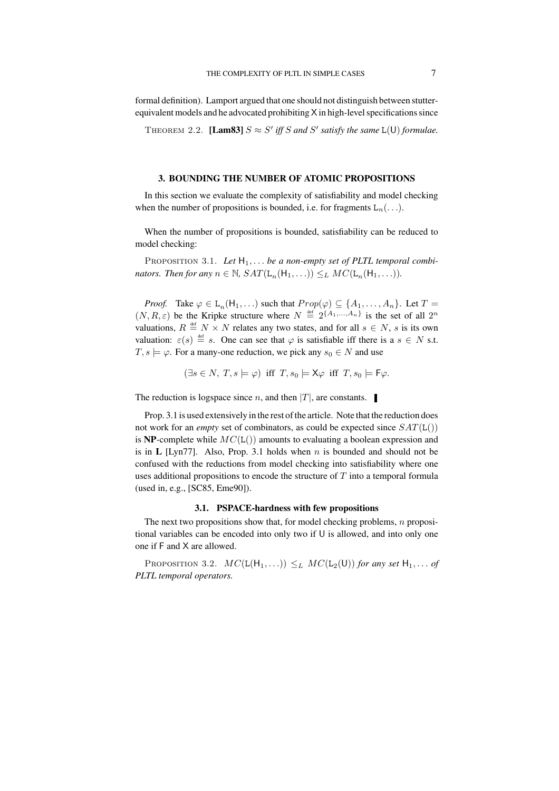formal definition). Lamport argued that one should not distinguish between stutterequivalent models and he advocated prohibiting  $X$  in high-level specifications since

THEOREM 2.2. **[Lam83]**  $S \approx S'$  iff  $S$  and  $S'$  satisfy the same  $L(U)$  formulae.

#### **3. BOUNDING THE NUMBER OF ATOMIC PROPOSITIONS**

In this section we evaluate the complexity of satisfiability and model checking when the number of propositions is bounded, i.e. for fragments  $L_n(\ldots)$ .

When the number of propositions is bounded, satisfiability can be reduced to model checking:

PROPOSITION 3.1. Let  $H_1, \ldots$  be a non-empty set of PLTL temporal combi*nators. Then for any*  $n \in \mathbb{N}$ ,  $SAT(L_n(H_1, ...)) \leq_L MC(L_n(H_1, ...)).$ 

*Proof.* Take  $\varphi \in L_n(H_1, \ldots)$  such that  $Prop(\varphi) \subseteq \{A_1, \ldots, A_n\}$ . Let  $T =$  $(N, R, \varepsilon)$  be the Kripke structure where  $N \stackrel{\text{def}}{=} 2^{\{A_1, ..., A_n\}}$  is the set of all  $2^n$ valuations,  $R \stackrel{\text{def}}{=} N \times N$  relates any two states, and for all  $s \in N$ , s is its own valuation:  $\varepsilon(s) \stackrel{\text{def}}{=} s$ . One can see that  $\varphi$  is satisfiable iff there is a  $s \in N$  s.t.  $T, s \models \varphi$ . For a many-one reduction, we pick any  $s_0 \in N$  and use

$$
(\exists s \in N, T, s \models \varphi) \text{ iff } T, s_0 \models \mathsf{X}\varphi \text{ iff } T, s_0 \models \mathsf{F}\varphi.
$$

The reduction is logspace since *n*, and then  $|T|$ , are constants.

Prop. 3.1 is used extensively in the rest of the article. Note that the reduction does not work for an *empty* set of combinators, as could be expected since  $SAT(L()$ is **NP**-complete while  $MC(L))$  amounts to evaluating a boolean expression and is in  $L$  [Lyn77]. Also, Prop. 3.1 holds when n is bounded and should not be confused with the reductions from model checking into satisfiability where one uses additional propositions to encode the structure of  $T$  into a temporal formula (used in, e.g., [SC85, Eme90]).

### **3.1. PSPACE-hardness with few propositions**

The next two propositions show that, for model checking problems,  $n$  propositional variables can be encoded into only two if U is allowed, and into only one one if F and X are allowed.

PROPOSITION 3.2.  $MC(L(H_1, \ldots)) \leq_L MC(L_2(U))$  *for any set*  $H_1, \ldots$  *of PLTL temporal operators.*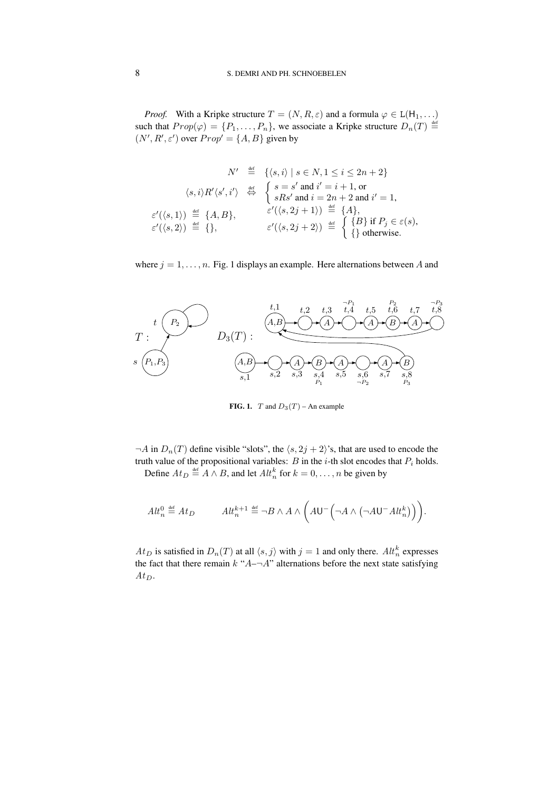*Proof.* With a Kripke structure  $T = (N, R, \varepsilon)$  and a formula  $\varphi \in L(H_1, \ldots)$ such that  $Prop(\varphi) = \{P_1, \ldots, P_n\}$ , we associate a Kripke structure  $D_n(T) \stackrel{\text{def}}{=}$  $(N', R', \varepsilon')$  over  $Prop' = \{A, B\}$  given by

$$
N' \stackrel{\text{def}}{=} \{ \langle s, i \rangle \mid s \in N, 1 \le i \le 2n + 2 \}
$$

$$
\langle s, i \rangle R' \langle s', i' \rangle \stackrel{\text{def}}{\Leftrightarrow} \begin{cases} s = s' \text{ and } i' = i + 1, \text{ or} \\ sRs' \text{ and } i = 2n + 2 \text{ and } i' = 1, \end{cases}
$$

$$
\varepsilon'(\langle s, 1 \rangle) \stackrel{\text{def}}{=} \{A, B\}, \qquad \varepsilon'(\langle s, 2j + 1 \rangle) \stackrel{\text{def}}{=} \{A\}, \qquad \varepsilon'(\langle s, 2j + 2 \rangle) \stackrel{\text{def}}{=} \begin{cases} \{B\} \text{ if } P_j \in \varepsilon(s), \\ \text{otherwise.} \end{cases}
$$

where  $j = 1, \ldots, n$ . Fig. 1 displays an example. Here alternations between A and



**FIG. 1.**  $T$  and  $D_3(T)$  – An example

 $\neg A$  in  $D_n(T)$  define visible "slots", the  $\langle s, 2j + 2 \rangle$ 's, that are used to encode the truth value of the propositional variables: B in the *i*-th slot encodes that  $P_i$  holds. Define  $At_D \stackrel{\text{def}}{=} A \wedge B$ , and let  $Alt_n^k$  for  $k = 0, \ldots, n$  be given by

$$
Alt^0_n \stackrel{\text{\tiny def}}{=} At_D \hspace{1cm} Alt^{{k+1}}_n \stackrel{\text{\tiny def}}{=} \neg B \wedge A \wedge \bigg( A{\mathsf U}^-\Big(\neg A \wedge \big(\neg A{\mathsf U}^-At^k_n\big)\Big)\bigg).
$$

 $At_D$  is satisfied in  $D_n(T)$  at all  $\langle s, j \rangle$  with  $j = 1$  and only there.  $\mathcal{A}lt_n^k$  expresses the fact that there remain  $k$  " $A - A$ " alternations before the next state satisfying  $At_D.$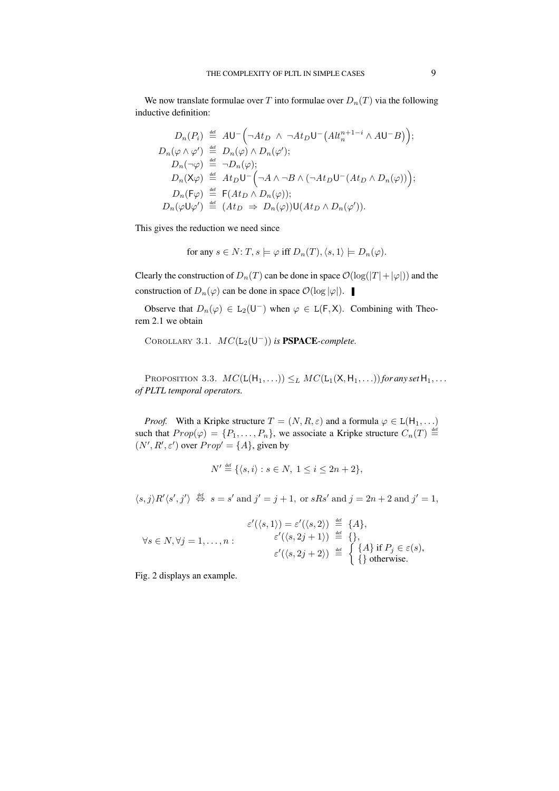We now translate formulae over T into formulae over  $D_n(T)$  via the following inductive definition:

$$
D_n(P_i) \stackrel{\text{def}}{=} AU^- \Big( \neg At_D \land \neg At_D \cup \neg (Alt_n^{n+1-i} \land AU^-B) \Big);
$$
  
\n
$$
D_n(\varphi \land \varphi') \stackrel{\text{def}}{=} D_n(\varphi) \land D_n(\varphi');
$$
  
\n
$$
D_n(\neg \varphi) \stackrel{\text{def}}{=} \neg D_n(\varphi);
$$
  
\n
$$
D_n(\mathsf{X}\varphi) \stackrel{\text{def}}{=} At_D \cup \neg (\neg A \land \neg B \land (\neg At_D \cup \neg (At_D \land D_n(\varphi))) ;
$$
  
\n
$$
D_n(\mathsf{F}\varphi) \stackrel{\text{def}}{=} \mathsf{F}(At_D \land D_n(\varphi));
$$
  
\n
$$
D_n(\varphi \cup \varphi') \stackrel{\text{def}}{=} (At_D \Rightarrow D_n(\varphi)) \cup (At_D \land D_n(\varphi')).
$$

This gives the reduction we need since

for any 
$$
s \in N
$$
:  $T$ ,  $s \models \varphi$  iff  $D_n(T)$ ,  $\langle s, 1 \rangle \models D_n(\varphi)$ .

Clearly the construction of  $D_n(T)$  can be done in space  $\mathcal{O}(\log(|T|+|\varphi|))$  and the construction of  $D_n(\varphi)$  can be done in space  $\mathcal{O}(\log |\varphi|)$ .

Observe that  $D_n(\varphi) \in L_2(\mathsf{U}^-)$  when  $\varphi \in L(\mathsf{F}, \mathsf{X})$ . Combining with Theorem 2.1 we obtain

COROLLARY 3.1.  $MC(L_2(U^-))$  is **PSPACE**-complete.

PROPOSITION 3.3.  $MC(L(H_1, \ldots)) \leq_L MC(L_1(X, H_1, \ldots))$  *for any set*  $H_1, \ldots$ *of PLTL temporal operators.*

*Proof.* With a Kripke structure  $T = (N, R, \varepsilon)$  and a formula  $\varphi \in L(H_1, \ldots)$ such that  $Prop(\varphi) = \{P_1, \ldots, P_n\}$ , we associate a Kripke structure  $C_n(T) \stackrel{\text{def}}{=}$  $(N', R', \varepsilon')$  over  $Prop' = \{A\}$ , given by

$$
N' \stackrel{\text{def}}{=} \{ \langle s, i \rangle : s \in N, \ 1 \le i \le 2n + 2 \},
$$

 $\langle s, j \rangle R' \langle s', j' \rangle \stackrel{\text{def}}{\Leftrightarrow} s = s' \text{ and } j' = j + 1, \text{ or } sRs' \text{ and } j = 2n + 2 \text{ and } j' = 1,$ 

$$
\varepsilon'(\langle s, 1 \rangle) = \varepsilon'(\langle s, 2 \rangle) \stackrel{\text{def}}{=} \{A\},
$$
  
\n
$$
\forall s \in N, \forall j = 1, ..., n: \qquad \begin{aligned}\n\varepsilon'(\langle s, 2j + 1 \rangle) & \stackrel{\text{def}}{=} \{1\}, \\
\varepsilon'(\langle s, 2j + 2 \rangle) & \stackrel{\text{def}}{=} \left\{ \begin{aligned}\n\{A\} & \text{if } P_j \in \varepsilon(s), \\
\{\text{otherwise.}\n\end{aligned}\n\right.
$$

Fig. 2 displays an example.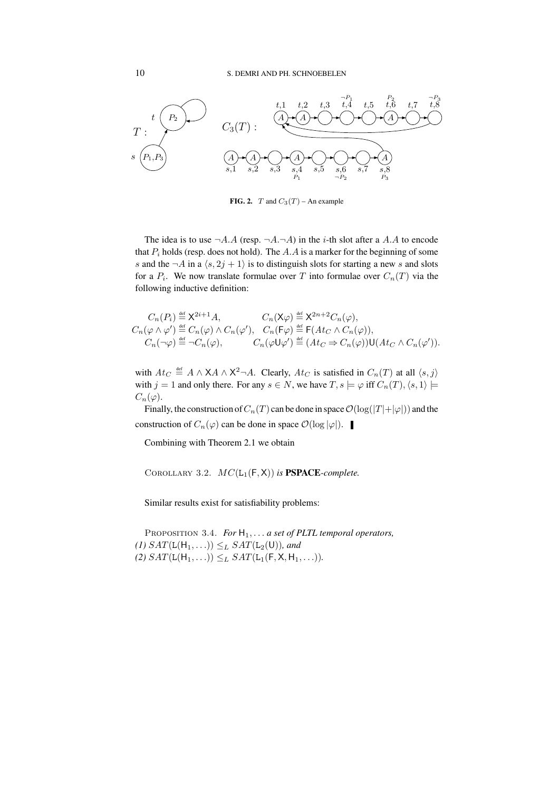

**FIG. 2.**  $T$  and  $C_3(T)$  – An example

The idea is to use  $\neg A.A$  (resp.  $\neg A.\neg A$ ) in the *i*-th slot after a A.A to encode that  $P_i$  holds (resp. does not hold). The A.A is a marker for the beginning of some s and the  $\neg A$  in a  $\langle s, 2j + 1 \rangle$  is to distinguish slots for starting a new s and slots for a  $P_i$ . We now translate formulae over T into formulae over  $C_n(T)$  via the following inductive definition:

$$
C_n(P_i) \stackrel{\text{def}}{=} X^{2i+1} A, \qquad C_n(\mathsf{X}\varphi) \stackrel{\text{def}}{=} X^{2n+2} C_n(\varphi),
$$
  
\n
$$
C_n(\varphi \wedge \varphi') \stackrel{\text{def}}{=} C_n(\varphi) \wedge C_n(\varphi'), \quad C_n(\mathsf{F}\varphi) \stackrel{\text{def}}{=} \mathsf{F}(At_C \wedge C_n(\varphi)),
$$
  
\n
$$
C_n(\neg \varphi) \stackrel{\text{def}}{=} \neg C_n(\varphi), \qquad C_n(\varphi \mathsf{U}\varphi') \stackrel{\text{def}}{=} (At_C \Rightarrow C_n(\varphi)) \mathsf{U}(At_C \wedge C_n(\varphi')).
$$

with  $At_C \stackrel{\text{def}}{=} A \wedge \overline{X}A \wedge \overline{X}^2 \neg A$ . Clearly,  $At_C$  is satisfied in  $C_n(T)$  at all  $\langle s, j \rangle$ with  $j = 1$  and only there. For any  $s \in N$ , we have  $T, s \models \varphi$  iff  $C_n(T), \langle s, 1 \rangle \models$  $C_n(\varphi)$ .

Finally, the construction of  $C_n(T)$  can be done in space  $\mathcal{O}(\log(|T|+|\varphi|))$  and the construction of  $C_n(\varphi)$  can be done in space  $\mathcal{O}(\log |\varphi|)$ .

Combining with Theorem 2.1 we obtain

COROLLARY 3.2.  $MC(L_1(F,X))$  *is* **PSPACE***-complete.* 

Similar results exist for satisfiability problems:

Proposition 3.4. *For* H1, . . . *a set of PLTL temporal operators,*  $(1)$   $SAT(L(H_1, \ldots)) \leq_L SAT(L_2(U))$ *, and* (2)  $SAT(L(H_1, ...)) \leq_L SAT(L_1(F, X, H_1, ...)).$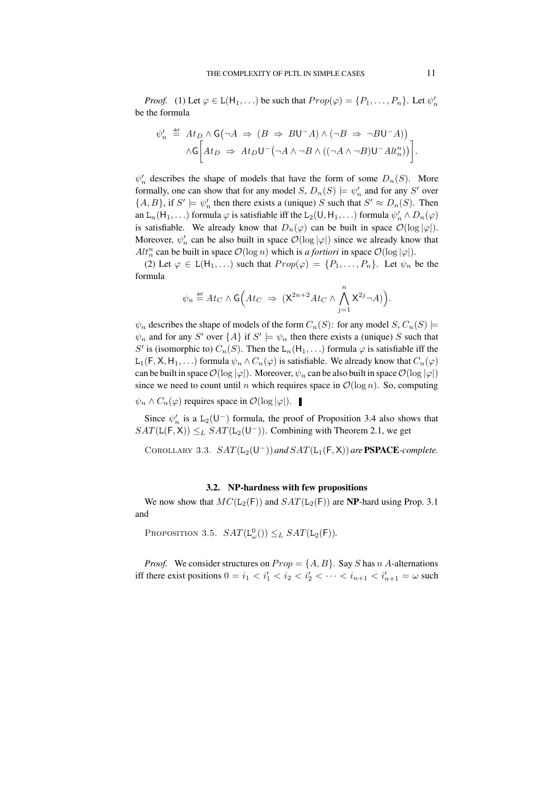*Proof.* (1) Let  $\varphi \in L(H_1, \ldots)$  be such that  $Prop(\varphi) = \{P_1, \ldots, P_n\}$ . Let  $\psi'_n$ be the formula

$$
\psi'_n \stackrel{\text{def}}{=} At_D \land G(\neg A \Rightarrow (B \Rightarrow BU^-A) \land (\neg B \Rightarrow \neg BU^-A))
$$

$$
\land G\bigg[At_D \Rightarrow At_DU^-(\neg A \land \neg B \land ((\neg A \land \neg B)U^-At_n^n))\bigg].
$$

 $\psi'_n$  describes the shape of models that have the form of some  $D_n(S)$ . More formally, one can show that for any model  $S$ ,  $D_n(S) \models \psi'_n$  and for any  $S'$  over  $\{A, B\}$ , if  $S' \models \psi'_n$  then there exists a (unique) S such that  $S' \approx D_n(S)$ . Then an L<sub>n</sub>(H<sub>1</sub>, ...) formula  $\varphi$  is satisfiable iff the L<sub>2</sub>(U, H<sub>1</sub>, ...) formula  $\psi'_n \wedge D_n(\varphi)$ is satisfiable. We already know that  $D_n(\varphi)$  can be built in space  $\mathcal{O}(\log |\varphi|)$ . Moreover,  $\psi'_n$  can be also built in space  $\mathcal{O}(\log |\varphi|)$  since we already know that  $Alt_n^n$  can be built in space  $\mathcal{O}(\log n)$  which is *a fortiori* in space  $\mathcal{O}(\log |\varphi|)$ .

(2) Let  $\varphi \in L(H_1,...)$  such that  $Prop(\varphi) = \{P_1,...,P_n\}$ . Let  $\psi_n$  be the formula

$$
\psi_n \stackrel{\text{\tiny def}}{=} At_C \wedge \mathsf{G}\Big(At_C \ \Rightarrow \ \big( \mathsf{X}^{2n+2}At_C \wedge \bigwedge_{j=1}^n \mathsf{X}^{2j} \neg A \big) \Big).
$$

 $\psi_n$  describes the shape of models of the form  $C_n(S)$ : for any model  $S, C_n(S)$   $\models$  $\psi_n$  and for any S' over  $\{A\}$  if  $S' \models \psi_n$  then there exists a (unique) S such that S' is (isomorphic to)  $C_n(S)$ . Then the L<sub>n</sub>(H<sub>1</sub>, ...) formula  $\varphi$  is satisfiable iff the L<sub>1</sub>(F, X, H<sub>1</sub>, ...) formula  $\psi_n \wedge C_n(\varphi)$  is satisfiable. We already know that  $C_n(\varphi)$ can be built in space  $\mathcal{O}(\log |\varphi|)$ . Moreover,  $\psi_n$  can be also built in space  $\mathcal{O}(\log |\varphi|)$ since we need to count until n which requires space in  $\mathcal{O}(\log n)$ . So, computing  $\psi_n \wedge C_n(\varphi)$  requires space in  $\mathcal{O}(\log |\varphi|)$ .

Since  $\psi'_n$  is a L<sub>2</sub>(U<sup>-</sup>) formula, the proof of Proposition 3.4 also shows that  $SAT(L(F, X)) \leq_L SAT(L_2(U^-))$ . Combining with Theorem 2.1, we get

COROLLARY 3.3.  $SAT(L_2(U^-))$  and  $SAT(L_1(F, X))$  are **PSPACE***-complete.* 

## **3.2. NP-hardness with few propositions**

We now show that  $MC(L_2(F))$  and  $SAT(L_2(F))$  are **NP**-hard using Prop. 3.1 and

PROPOSITION 3.5.  $SAT(L_{\omega}^{0}()) \leq_L SAT(L_2(F))$ .

*Proof.* We consider structures on  $Prop = \{A, B\}$ . Say S has n A-alternations iff there exist positions  $0 = i_1 < i'_1 < i_2 < i'_2 < \cdots < i_{n+1} < i'_{n+1} = \omega$  such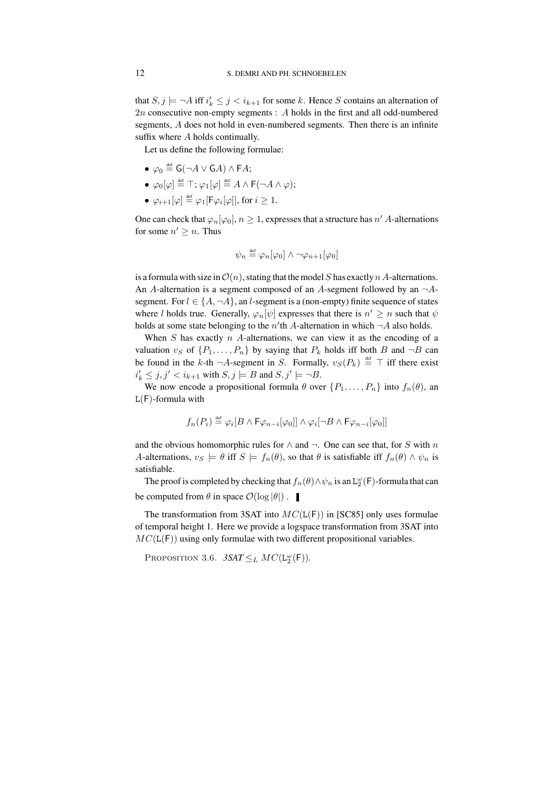that  $S, j \models \neg A$  iff  $i'_k \leq j < i_{k+1}$  for some k. Hence S contains an alternation of 2n consecutive non-empty segments : A holds in the first and all odd-numbered segments, A does not hold in even-numbered segments. Then there is an infinite suffix where A holds continually.

Let us define the following formulae:

- $\bullet \varphi_0 \stackrel{\text{\tiny def}}{=} \mathsf{G}(\neg A \vee \mathsf{G} A) \wedge \mathsf{F} A;$
- $\bullet \ \varphi_0[\varphi]\stackrel{\scriptscriptstyle\rm def}{=} \top; \varphi_1[\varphi]\stackrel{\scriptscriptstyle\rm def}{=} A\wedge \mathsf{F}(\neg A\wedge \varphi);$
- $\bullet \ \varphi_{i+1}[\varphi] \stackrel{\scriptscriptstyle{\mathsf{def}}}{=} \varphi_1[\mathsf{F} \varphi_i[\varphi]],$  for  $i \geq 1$ .

One can check that  $\varphi_n[\varphi_0], n \geq 1$ , expresses that a structure has  $n'$  A-alternations for some  $n' \geq n$ . Thus

$$
\psi_n \stackrel{\text{\tiny def}}{=} \varphi_n[\varphi_0] \land \neg \varphi_{n+1}[\varphi_0]
$$

is a formula with size in  $\mathcal{O}(n)$ , stating that the model S has exactly n A-alternations. An A-alternation is a segment composed of an A-segment followed by an  $\neg A$ segment. For  $l \in \{A, \neg A\}$ , an *l*-segment is a (non-empty) finite sequence of states where *l* holds true. Generally,  $\varphi_n[\psi]$  expresses that there is  $n' \geq n$  such that  $\psi$ holds at some state belonging to the  $n'$ th A-alternation in which  $\neg A$  also holds.

When  $S$  has exactly  $nA$ -alternations, we can view it as the encoding of a valuation  $v_S$  of  $\{P_1, \ldots, P_n\}$  by saying that  $P_k$  holds iff both B and  $\neg B$  can be found in the k-th  $\neg A$ -segment in S. Formally,  $v_S(P_k) \stackrel{\text{def}}{=} \top$  iff there exist  $i'_k \leq j, j' < i_{k+1}$  with  $S, j \models B$  and  $S, j' \models \neg B$ .

We now encode a propositional formula  $\theta$  over  $\{P_1, \ldots, P_n\}$  into  $f_n(\theta)$ , an  $L(F)$ -formula with

$$
f_n(P_i) \stackrel{\text{\tiny def}}{=} \varphi_i[B \wedge \mathsf{F} \varphi_{n-i}[\varphi_0]] \wedge \varphi_i[\neg B \wedge \mathsf{F} \varphi_{n-i}[\varphi_0]]
$$

and the obvious homomorphic rules for  $\land$  and  $\neg$ . One can see that, for S with n A-alternations,  $v_S \models \theta$  iff  $S \models f_n(\theta)$ , so that  $\theta$  is satisfiable iff  $f_n(\theta) \wedge \psi_n$  is satisfiable.

The proof is completed by checking that  $f_n(\theta) \wedge \psi_n$  is an  $\mathtt{L}_2^\omega(\mathsf{F})$ -formula that can be computed from  $\theta$  in space  $\mathcal{O}(\log |\theta|)$ .

The transformation from 3SAT into  $MC(L(F))$  in [SC85] only uses formulae of temporal height 1. Here we provide a logspace transformation from 3SAT into  $MC(L(F))$  using only formulae with two different propositional variables.

PROPOSITION 3.6.  $3SAT \leq_L MC(\mathsf{L}_2^{\omega}(\mathsf{F}))$ .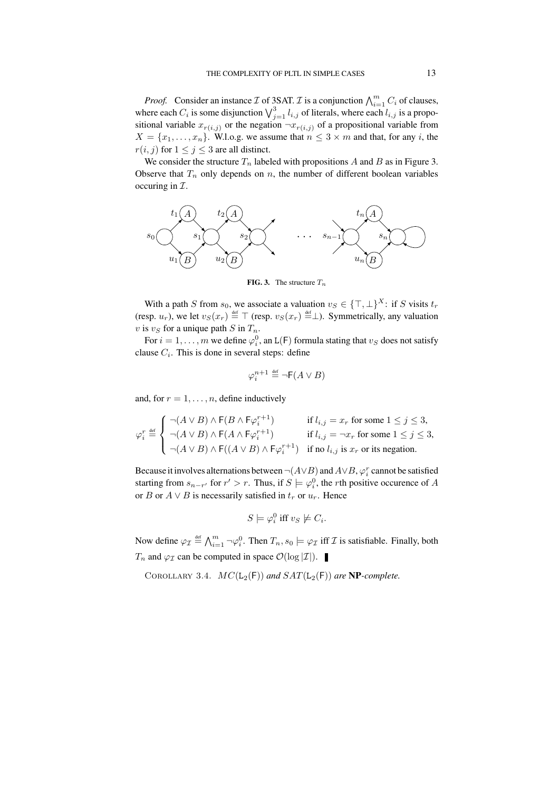*Proof.* Consider an instance  $\mathcal I$  of 3SAT.  $\mathcal I$  is a conjunction  $\bigwedge_{i=1}^m C_i$  of clauses, where each  $C_i$  is some disjunction  $\bigvee_{j=1}^{3} l_{i,j}$  of literals, where each  $l_{i,j}$  is a propositional variable  $x_{r(i,j)}$  or the negation  $\neg x_{r(i,j)}$  of a propositional variable from  $X = \{x_1, \ldots, x_n\}$ . W.l.o.g. we assume that  $n \leq 3 \times m$  and that, for any i, the  $r(i, j)$  for  $1 \leq j \leq 3$  are all distinct.

We consider the structure  $T_n$  labeled with propositions A and B as in Figure 3. Observe that  $T_n$  only depends on n, the number of different boolean variables occuring in  $\mathcal{I}$ .



**FIG. 3.** The structure  $T_n$ 

With a path S from  $s_0$ , we associate a valuation  $v_S \in \{\top, \bot\}^X$ : if S visits  $t_r$ (resp.  $u_r$ ), we let  $v_S(x_r) \stackrel{\text{def}}{=} \top$  (resp.  $v_S(x_r) \stackrel{\text{def}}{=} \bot$ ). Symmetrically, any valuation v is  $v<sub>S</sub>$  for a unique path S in  $T<sub>n</sub>$ .

For  $i = 1, \ldots, m$  we define  $\varphi_i^0$ , an L(F) formula stating that  $v_S$  does not satisfy clause  $C_i$ . This is done in several steps: define

$$
\varphi_i^{n+1} \stackrel{\text{def}}{=} \neg \mathsf{F}(A \lor B)
$$

and, for  $r = 1, \ldots, n$ , define inductively

$$
\varphi_i^r \stackrel{\text{def}}{=} \n\begin{cases}\n\lnot(A \lor B) \land \mathsf{F}(B \land \mathsf{F}\varphi_i^{r+1}) & \text{if } l_{i,j} = x_r \text{ for some } 1 \leq j \leq 3, \\
\lnot(A \lor B) \land \mathsf{F}(A \land \mathsf{F}\varphi_i^{r+1}) & \text{if } l_{i,j} = \lnot x_r \text{ for some } 1 \leq j \leq 3, \\
\lnot(A \lor B) \land \mathsf{F}((A \lor B) \land \mathsf{F}\varphi_i^{r+1}) & \text{if no } l_{i,j} \text{ is } x_r \text{ or its negation.}\n\end{cases}
$$

Because it involves alternations between  $\neg(A\vee B)$  and  $A\vee B$ ,  $\varphi_i^r$  cannot be satisfied starting from  $s_{n-r'}$  for  $r' > r$ . Thus, if  $S \models \varphi_i^0$ , the *r*th positive occurence of A or B or  $A \vee B$  is necessarily satisfied in  $t_r$  or  $u_r$ . Hence

$$
S \models \varphi_i^0 \text{ iff } v_S \not\models C_i.
$$

Now define  $\varphi_{\mathcal{I}} \stackrel{\text{def}}{=} \bigwedge_{i=1}^m \neg \varphi_i^0$ . Then  $T_n$ ,  $s_0 \models \varphi_{\mathcal{I}}$  iff  $\mathcal{I}$  is satisfiable. Finally, both  $T_n$  and  $\varphi_{\mathcal{I}}$  can be computed in space  $\mathcal{O}(\log |\mathcal{I}|)$ .

COROLLARY 3.4.  $MC(L_2(F))$  *and*  $SAT(L_2(F))$  *are* **NP***-complete.*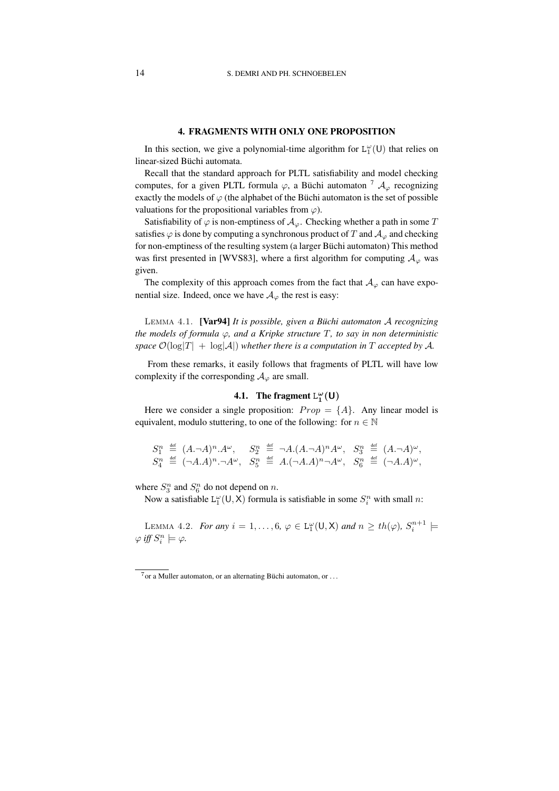## **4. FRAGMENTS WITH ONLY ONE PROPOSITION**

In this section, we give a polynomial-time algorithm for  $L_1^{\omega}(U)$  that relies on linear-sized Büchi automata.

Recall that the standard approach for PLTL satisfiability and model checking computes, for a given PLTL formula  $\varphi$ , a Büchi automaton  $\frac{7}{4}$   $\mathcal{A}_{\varphi}$  recognizing exactly the models of  $\varphi$  (the alphabet of the Büchi automaton is the set of possible valuations for the propositional variables from  $\varphi$ ).

Satisfiability of  $\varphi$  is non-emptiness of  $\mathcal{A}_{\varphi}$ . Checking whether a path in some T satisfies  $\varphi$  is done by computing a synchronous product of T and  $\mathcal{A}_{\varphi}$  and checking for non-emptiness of the resulting system (a larger Büchi automaton) This method was first presented in [WVS83], where a first algorithm for computing  $A_{\varphi}$  was given.

The complexity of this approach comes from the fact that  $A_{\varphi}$  can have exponential size. Indeed, once we have  $A_{\varphi}$  the rest is easy:

LEMMA 4.1. **[Var94]** *It is possible, given a Büchi automaton A recognizing the* models of formula  $\varphi$ , and a Kripke structure T, to say in non deterministic *space*  $\mathcal{O}(\log|T| + \log|\mathcal{A}|)$  *whether there is a computation in* T *accepted by* A.

From these remarks, it easily follows that fragments of PLTL will have low complexity if the corresponding  $A_{\varphi}$  are small.

# **4.1.** The fragment  $L_1^{\omega}(U)$

Here we consider a single proposition:  $Prop = \{A\}$ . Any linear model is equivalent, modulo stuttering, to one of the following: for  $n \in \mathbb{N}$ 

$$
\begin{array}{lll}\nS_{1}^{n} & \stackrel{\text{def}}{=} & (A, \neg A)^{n}.A^{\omega}, & S_{2}^{n} & \stackrel{\text{def}}{=} & \neg A.(A, \neg A)^{n}A^{\omega}, & S_{3}^{n} & \stackrel{\text{def}}{=} & (A, \neg A)^{\omega}, \\
S_{4}^{n} & \stackrel{\text{def}}{=} & (\neg A.A)^{n}. \neg A^{\omega}, & S_{5}^{n} & \stackrel{\text{def}}{=} & A. (\neg A.A)^{n}. \neg A^{\omega}, & S_{6}^{n} & \stackrel{\text{def}}{=} & (\neg A.A)^{\omega},\n\end{array}
$$

where  $S_3^n$  and  $S_6^n$  do not depend on n.

Now a satisfiable  $L_1^{\omega}(U, X)$  formula is satisfiable in some  $S_i^n$  with small n:

LEMMA 4.2. *For any*  $i = 1, ..., 6, \varphi \in L_1^{\omega}(U, X)$  *and*  $n \geq th(\varphi), S_i^{n+1} \models$  $\varphi$  iff  $S_i^n \models \varphi$ .

 $7$ or a Muller automaton, or an alternating Büchi automaton, or ...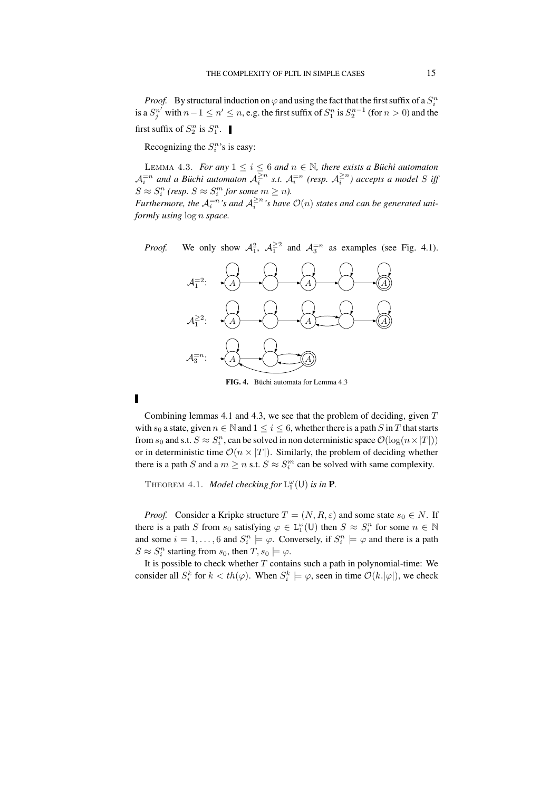*Proof.* By structural induction on  $\varphi$  and using the fact that the first suffix of a  $S_i^n$ is a  $S_j^{n'}$  with  $n-1 \leq n' \leq n$ , e.g. the first suffix of  $S_1^n$  is  $S_2^{n-1}$  (for  $n > 0$ ) and the first suffix of  $S_2^n$  is  $S_1^n$ .

Recognizing the  $S_i^n$ 's is easy:

LEMMA 4.3. *For any*  $1 \leq i \leq 6$  *and*  $n \in \mathbb{N}$ *, there exists a Büchi automaton*  $\mathcal{A}_i^{=n}$  and a Büchi automaton  $\mathcal{A}_i^{\geq n}$  s.t.  $\mathcal{A}_i^{=n}$  (resp.  $\mathcal{A}_i^{\geq n}$ ) accepts a model S iff  $S \approx S_i^n$  (resp.  $S \approx S_i^m$  for some  $m \geq n$ ).

*Furthermore, the*  $A_i^{=n}$ 's and  $A_i^{\geq n}$ 's have  $\mathcal{O}(n)$  states and can be generated uni*formly using* log n *space.*

*Proof.* We only show  $A_1^2$ ,  $A_1^{\geq 2}$  and  $A_3^{\equiv n}$  as examples (see Fig. 4.1).



FIG. 4. Büchi automata for Lemma 4.3

 $\blacksquare$ 

Combining lemmas 4.1 and 4.3, we see that the problem of deciding, given  $T$ with  $s_0$  a state, given  $n \in \mathbb{N}$  and  $1 \leq i \leq 6$ , whether there is a path S in T that starts from  $s_0$  and s.t.  $S \approx S_i^n$ , can be solved in non deterministic space  $\mathcal{O}(\log(n \times |T|))$ or in deterministic time  $\mathcal{O}(n \times |T|)$ . Similarly, the problem of deciding whether there is a path S and a  $m \ge n$  s.t.  $S \approx S_i^m$  can be solved with same complexity.

THEOREM 4.1. *Model checking for*  $L_1^{\omega}(U)$  *is in* **P**.

*Proof.* Consider a Kripke structure  $T = (N, R, \varepsilon)$  and some state  $s_0 \in N$ . If there is a path S from  $s_0$  satisfying  $\varphi \in L_1^{\omega}(U)$  then  $S \approx S_i^n$  for some  $n \in \mathbb{N}$ and some  $i = 1, ..., 6$  and  $S_i^n \models \varphi$ . Conversely, if  $S_i^n \models \varphi$  and there is a path  $S \approx S_i^n$  starting from  $s_0$ , then  $T, s_0 \models \varphi$ .

It is possible to check whether  $T$  contains such a path in polynomial-time: We consider all  $S_i^k$  for  $k < th(\varphi)$ . When  $S_i^k \models \varphi$ , seen in time  $\mathcal{O}(k.|\varphi|)$ , we check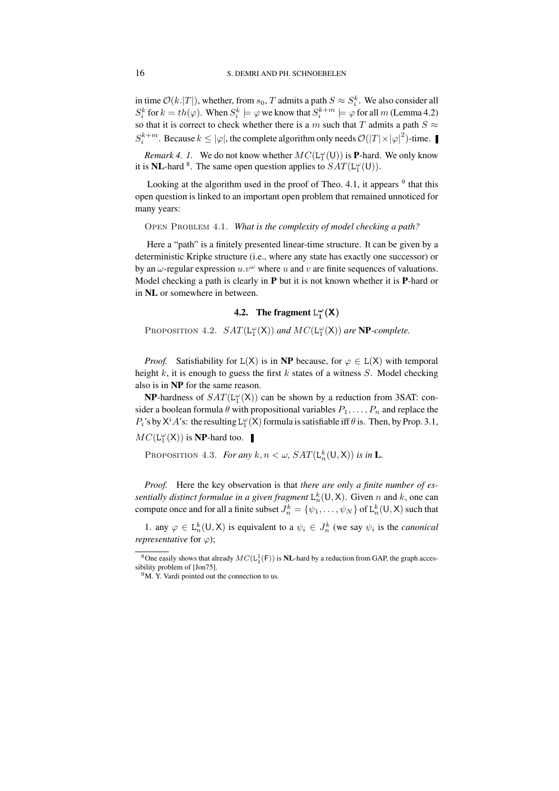in time  $\mathcal{O}(k.|T|)$ , whether, from  $s_0$ , T admits a path  $S \approx S_i^k$ . We also consider all  $S_i^k$  for  $k = th(\varphi)$ . When  $S_i^k \models \varphi$  we know that  $S_i^{k+m} \models \varphi$  for all  $m$  (Lemma 4.2) so that it is correct to check whether there is a m such that T admits a path  $S \approx$  $S_i^{k+m}$ . Because  $k \leq |\varphi|$ , the complete algorithm only needs  $\mathcal{O}(|T| \times |\varphi|^2)$ -time.

*Remark* 4. *I*. We do not know whether  $MC(L_1^{\omega}(U))$  is **P**-hard. We only know it is **NL**-hard <sup>8</sup>. The same open question applies to  $SAT(L_1^{\omega}(U))$ .

Looking at the algorithm used in the proof of Theo. 4.1, it appears  $9$  that this open question is linked to an important open problem that remained unnoticed for many years:

Open Problem 4.1. *What is the complexity of model checking a path?*

Here a "path" is a finitely presented linear-time structure. It can be given by a deterministic Kripke structure (i.e., where any state has exactly one successor) or by an  $\omega$ -regular expression  $u \cdot v^{\omega}$  where u and v are finite sequences of valuations. Model checking a path is clearly in **P** but it is not known whether it is **P**-hard or in **NL** or somewhere in between.

# **4.2.** The fragment  $L_1^{\omega}(\mathsf{X})$

PROPOSITION 4.2.  $SAT(L_1^{\omega}(X))$  and  $MC(L_1^{\omega}(X))$  are **NP***-complete.* 

*Proof.* Satisfiability for  $L(X)$  is in **NP** because, for  $\varphi \in L(X)$  with temporal height  $k$ , it is enough to guess the first  $k$  states of a witness  $S$ . Model checking also is in **NP** for the same reason.

**NP**-hardness of  $SAT(L_1^{\omega}(X))$  can be shown by a reduction from 3SAT: consider a boolean formula  $\theta$  with propositional variables  $P_1, \ldots, P_n$  and replace the  $P_i$ 's by  $X^i A$ 's: the resulting  $L_1^{\omega}(X)$  formula is satisfiable iff  $\theta$  is. Then, by Prop. 3.1,  $MC(\mathsf{L}_1^\omega(\mathsf{X}))$  is **NP**-hard too.

PROPOSITION 4.3. *For any*  $k, n < \omega$ ,  $SAT(\mathsf{L}_{n}^{k}(\mathsf{U}, \mathsf{X}))$  *is in* **L**.

*Proof.* Here the key observation is that *there are only a finite number of essentially distinct formulae in a given fragment*  $L_n^k(\mathsf{U}, \mathsf{X})$ . Given n and k, one can compute once and for all a finite subset  $J_n^k = \{\psi_1, \ldots, \psi_N\}$  of  ${\tt L}_n^k(\mathsf{U},\mathsf{X})$  such that

1. any  $\varphi \in L_n^k(U,X)$  is equivalent to a  $\psi_i \in J_n^k$  (we say  $\psi_i$  is the *canonical representative* for  $\varphi$ *)*;

<sup>&</sup>lt;sup>8</sup>One easily shows that already  $MC(\mathsf{L}_1^1(\mathsf{F}))$  is **NL**-hard by a reduction from GAP, the graph accessibility problem of [Jon75].

<sup>&</sup>lt;sup>9</sup>M. Y. Vardi pointed out the connection to us.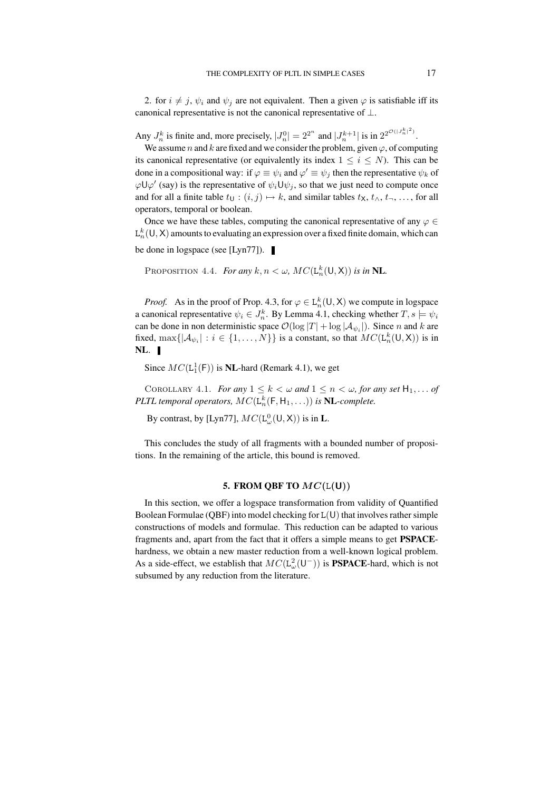2. for  $i \neq j$ ,  $\psi_i$  and  $\psi_j$  are not equivalent. Then a given  $\varphi$  is satisfiable iff its canonical representative is not the canonical representative of  $\bot$ .

Any  $J_n^k$  is finite and, more precisely,  $|J_n^0| = 2^{2^n}$  and  $|J_n^{k+1}|$  is in  $2^{2^{\mathcal{O}(|J_n^k|^2)}}$ .

We assume n and k are fixed and we consider the problem, given  $\varphi$ , of computing its canonical representative (or equivalently its index  $1 \le i \le N$ ). This can be done in a compositional way: if  $\varphi \equiv \psi_i$  and  $\varphi' \equiv \psi_j$  then the representative  $\psi_k$  of  $\varphi\mathsf{U}\varphi'$  (say) is the representative of  $\psi_i\mathsf{U}\psi_j$ , so that we just need to compute once and for all a finite table  $t_{\mathsf{U}} : (i, j) \mapsto k$ , and similar tables  $t_{\mathsf{X}}, t_{\wedge}, t_{\neg}, \dots$ , for all operators, temporal or boolean.

Once we have these tables, computing the canonical representative of any  $\varphi \in \mathcal{Q}$  $L_n^k(U,X)$  amounts to evaluating an expression over a fixed finite domain, which can be done in logspace (see [Lyn77]).

PROPOSITION 4.4. *For any*  $k, n < \omega$ ,  $MC(\mathsf{L}_n^k(\mathsf{U}, \mathsf{X}))$  *is in* **NL**.

*Proof.* As in the proof of Prop. 4.3, for  $\varphi \in L_n^k(U,X)$  we compute in logspace a canonical representative  $\psi_i \in J_n^k$ . By Lemma 4.1, checking whether  $T, s \models \psi_i$ can be done in non deterministic space  $\mathcal{O}(\log |T| + \log |A_{\psi_i}|)$ . Since n and k are fixed,  $\max\{|\mathcal{A}_{\psi_i}| : i \in \{1, ..., N\}\}\$ is a constant, so that  $MC(L_n^k(\mathsf{U}, \mathsf{X}))$  is in **NL**.

Since  $MC(L_1^1(F))$  is **NL**-hard (Remark 4.1), we get

COROLLARY 4.1. *For any*  $1 \leq k < \omega$  *and*  $1 \leq n < \omega$ , *for any set*  $H_1, \ldots$  *of PLTL temporal operators,*  $MC(L_n^k(F, H_1, \ldots))$  *is* **NL***-complete.* 

By contrast, by [Lyn77],  $MC(\mathsf{L}_{\omega}^0(\mathsf{U},\mathsf{X}))$  is in **L**.

This concludes the study of all fragments with a bounded number of propositions. In the remaining of the article, this bound is removed.

## **5. FROM QBF TO** MC(L(U))

In this section, we offer a logspace transformation from validity of Quantified Boolean Formulae (QBF) into model checking for  $L(U)$  that involves rather simple constructions of models and formulae. This reduction can be adapted to various fragments and, apart from the fact that it offers a simple means to get **PSPACE**hardness, we obtain a new master reduction from a well-known logical problem. As a side-effect, we establish that  $MC(L^2_\omega(\mathsf{U}^-))$  is **PSPACE**-hard, which is not subsumed by any reduction from the literature.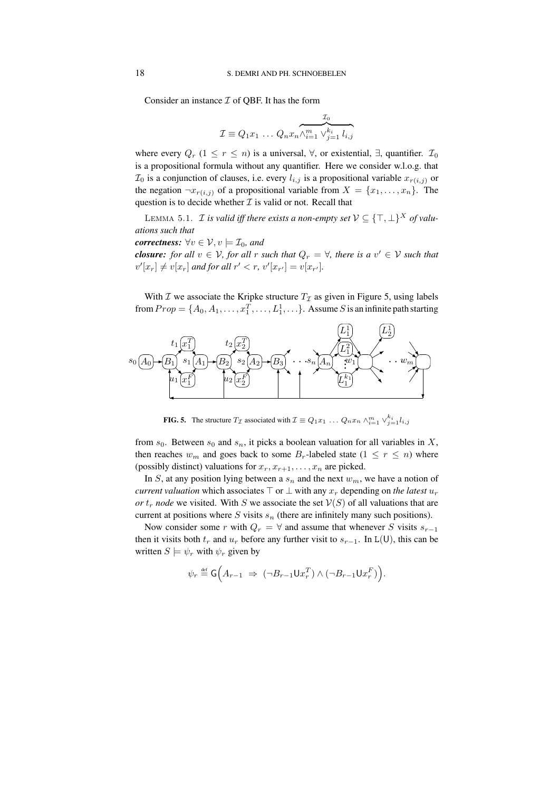Consider an instance  $\mathcal I$  of OBF. It has the form

$$
\mathcal{I} \equiv Q_1 x_1 \dots Q_n x_n \wedge_{i=1}^m \vee_{j=1}^{k_i} l_{i,j}
$$

where every  $Q_r$  (1  $\leq r \leq n$ ) is a universal,  $\forall$ , or existential,  $\exists$ , quantifier.  $\mathcal{I}_0$ is a propositional formula without any quantifier. Here we consider w.l.o.g. that  $\mathcal{I}_0$  is a conjunction of clauses, i.e. every  $l_{i,j}$  is a propositional variable  $x_{r(i,j)}$  or the negation  $\neg x_{r(i,j)}$  of a propositional variable from  $X = \{x_1, \ldots, x_n\}$ . The question is to decide whether  $I$  is valid or not. Recall that

LEMMA 5.1. *I is valid iff there exists a non-empty set*  $V \subseteq {\{\top, \bot\}}^X$  *of valuations such that*

*correctness:* 
$$
\forall v \in V, v \models \mathcal{I}_0
$$
, and

*closure: for all*  $v \in V$ *, for all r such that*  $Q_r = \forall$ *, there is a*  $v' \in V$  *such that*  $v'[x_r] \neq v[x_r]$  and for all  $r' < r$ ,  $v'[x_{r'}] = v[x_{r'}]$ .

With  $\mathcal I$  we associate the Kripke structure  $T_{\mathcal I}$  as given in Figure 5, using labels from  $Prop = \{A_0, A_1, \ldots, x_1^T, \ldots, L_1^1, \ldots\}$ . Assume S is an infinite path starting



**FIG. 5.** The structure  $T_{\mathcal{I}}$  associated with  $\mathcal{I} \equiv Q_1 x_1 \dots Q_n x_n \wedge_{i=1}^m \vee_{j=1}^{k_i} l_{i,j}$ 

from  $s_0$ . Between  $s_0$  and  $s_n$ , it picks a boolean valuation for all variables in X, then reaches  $w_m$  and goes back to some  $B_r$ -labeled state  $(1 \leq r \leq n)$  where (possibly distinct) valuations for  $x_r, x_{r+1}, \ldots, x_n$  are picked.

In S, at any position lying between a  $s_n$  and the next  $w_m$ , we have a notion of *current valuation* which associates  $\top$  or  $\bot$  with any  $x_r$  depending on *the latest*  $u_r$ *or*  $t_r$  *node* we visited. With S we associate the set  $V(S)$  of all valuations that are current at positions where  $S$  visits  $s_n$  (there are infinitely many such positions).

Now consider some r with  $Q_r = \forall$  and assume that whenever S visits  $s_{r-1}$ then it visits both  $t_r$  and  $u_r$  before any further visit to  $s_{r-1}$ . In L(U), this can be written  $S \models \psi_r$  with  $\psi_r$  given by

$$
\psi_r \stackrel{\text{\tiny def}}{=} \mathsf{G}\Big(A_{r-1} \ \Rightarrow \ \big(\neg B_{r-1}\mathsf{U} x^T_r\big) \land \big(\neg B_{r-1}\mathsf{U} x^F_r\big)\Big).
$$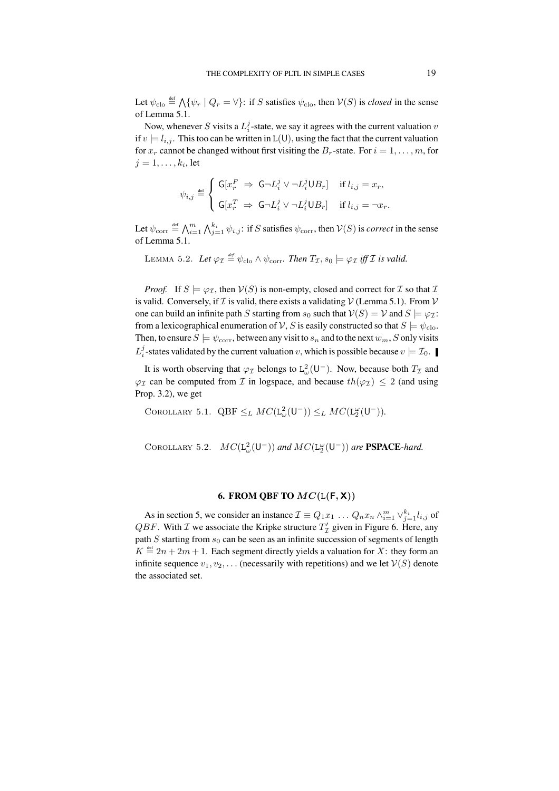Let  $\psi_{\text{clo}} \stackrel{\text{def}}{=} \bigwedge \{ \psi_r \mid Q_r = \forall \}$ : if S satisfies  $\psi_{\text{clo}}$ , then  $V(S)$  is *closed* in the sense of Lemma 5.1.

Now, whenever S visits a  $L_i^j$ -state, we say it agrees with the current valuation  $v$ if  $v \models l_{i,j}$ . This too can be written in L(U), using the fact that the current valuation for  $x_r$  cannot be changed without first visiting the  $B_r$ -state. For  $i = 1, \ldots, m$ , for  $j=1,\ldots,k_i,$  let

$$
\psi_{i,j} \stackrel{\text{\tiny def}}{=} \left\{ \begin{array}{ll} \mathsf{G}[x^F_r \ \Rightarrow \ \mathsf{G} \neg L^j_i \vee \neg L^j_i \mathsf{U} B_r] & \text{ if } l_{i,j} = x_r, \\ \\ \mathsf{G}[x^T_r \ \Rightarrow \ \mathsf{G} \neg L^j_i \vee \neg L^j_i \mathsf{U} B_r] & \text{ if } l_{i,j} = \neg x_r. \end{array} \right.
$$

Let  $\psi_{\text{corr}} \stackrel{\text{def}}{=} \bigwedge_{i=1}^m \bigwedge_{j=1}^{k_i} \psi_{i,j}$ : if S satisfies  $\psi_{\text{corr}}$ , then  $V(S)$  is *correct* in the sense of Lemma 5.1.

LEMMA 5.2. Let  $\varphi_{\mathcal{I}} \stackrel{\text{\tiny def}}{=} \psi_{\text{clo}} \wedge \psi_{\text{corr}}$ . Then  $T_{\mathcal{I}}, s_0 \models \varphi_{\mathcal{I}}$  iff  $\mathcal{I}$  is valid.

*Proof.* If  $S \models \varphi_{\mathcal{I}}$ , then  $V(S)$  is non-empty, closed and correct for  $\mathcal I$  so that  $\mathcal I$ is valid. Conversely, if  $\mathcal I$  is valid, there exists a validating  $\mathcal V$  (Lemma 5.1). From  $\mathcal V$ one can build an infinite path S starting from  $s_0$  such that  $V(S) = V$  and  $S \models \varphi_{\mathcal{I}}$ : from a lexicographical enumeration of V, S is easily constructed so that  $S \models \psi_{\text{clo}}$ . Then, to ensure  $S \models \psi_{\text{corr}}$ , between any visit to  $s_n$  and to the next  $w_m$ , S only visits  $L_i^j$ -states validated by the current valuation v, which is possible because  $v \models \mathcal{I}_0$ .

It is worth observing that  $\varphi_{\mathcal{I}}$  belongs to  $L^2_{\omega}(U^-)$ . Now, because both  $T_{\mathcal{I}}$  and  $\varphi_{\mathcal{I}}$  can be computed from  $\mathcal{I}$  in logspace, and because  $th(\varphi_{\mathcal{I}}) \leq 2$  (and using Prop. 3.2), we get

COROLLARY 5.1. QBF  $\leq_L MC(\mathsf{L}^2_\omega(\mathsf{U}^-)) \leq_L MC(\mathsf{L}^\omega_2(\mathsf{U}^-))$ .

COROLLARY 5.2.  $MC(L_{\omega}^{2}(U^{-}))$  and  $MC(L_{2}^{\omega}(U^{-}))$  are **PSPACE**-hard.

## **6. FROM QBF TO**  $MC(L(F, X))$

As in section 5, we consider an instance  $\mathcal{I} \equiv Q_1 x_1 \dots Q_n x_n \wedge_{i=1}^m \vee_{j=1}^{k_i} l_{i,j}$  of *QBF*. With *I* we associate the Kripke structure  $T'_\text{I}$  given in Figure 6. Here, any path  $S$  starting from  $s_0$  can be seen as an infinite succession of segments of length  $K \stackrel{\text{def}}{=} 2n + 2m + 1$ . Each segment directly yields a valuation for X: they form an infinite sequence  $v_1, v_2, \ldots$  (necessarily with repetitions) and we let  $\mathcal{V}(S)$  denote the associated set.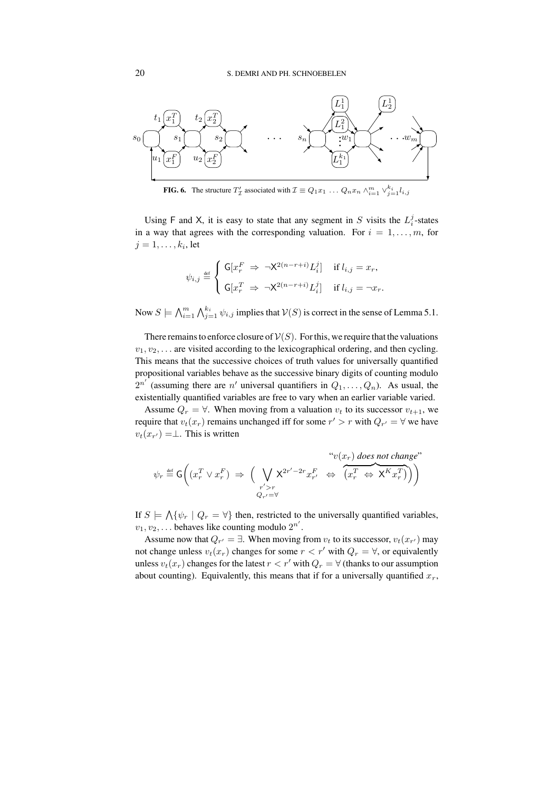

**FIG. 6.** The structure  $T'_\mathcal{I}$  associated with  $\mathcal{I} \equiv Q_1 x_1 \dots Q_n x_n \wedge_{i=1}^m \vee_{j=1}^{k_i} l_{i,j}$ 

Using F and X, it is easy to state that any segment in S visits the  $L_i^j$ -states in a way that agrees with the corresponding valuation. For  $i = 1, \ldots, m$ , for  $j=1,\ldots,k_i,$  let

$$
\psi_{i,j} \stackrel{\text{\tiny def}}{=} \left\{ \begin{array}{ll} \mathsf{G}[x^F_r \ \Rightarrow \ \neg \mathsf{X}^{2(n-r+i)} L^j_i] & \text{ if } l_{i,j} = x_r, \\ \\ \mathsf{G}[x^T_r \ \Rightarrow \ \neg \mathsf{X}^{2(n-r+i)} L^j_i] & \text{ if } l_{i,j} = \neg x_r. \end{array} \right.
$$

Now  $S \models \bigwedge_{i=1}^m \bigwedge_{j=1}^{k_i} \psi_{i,j}$  implies that  $V(S)$  is correct in the sense of Lemma 5.1.

There remains to enforce closure of  $V(S)$ . For this, we require that the valuations  $v_1, v_2, \ldots$  are visited according to the lexicographical ordering, and then cycling. This means that the successive choices of truth values for universally quantified propositional variables behave as the successive binary digits of counting modulo  $2^{n'}$  (assuming there are  $n'$  universal quantifiers in  $Q_1, \ldots, Q_n$ ). As usual, the existentially quantified variables are free to vary when an earlier variable varied.

Assume  $Q_r = \forall$ . When moving from a valuation  $v_t$  to its successor  $v_{t+1}$ , we require that  $v_t(x_r)$  remains unchanged iff for some  $r' > r$  with  $Q_{r'} = \forall$  we have  $v_t(x_{r'}) = \perp$ . This is written

$$
\psi_r \stackrel{\text{def}}{=} \mathsf{G}\bigg((x_r^T \vee x_r^F) \implies \Big(\bigvee_{\substack{r' > r \\ Q_{r'} = \forall}} \mathsf{X}^{2r' - 2r} x_{r'}^F \iff \Big(\overbrace{x_r^T \Leftrightarrow \mathsf{X}^K x_r^T}^{\text{top}}\Big)\Big)\Bigg)
$$

If  $S \models \bigwedge \{\psi_r \mid Q_r = \forall\}$  then, restricted to the universally quantified variables,  $v_1, v_2, \ldots$  behaves like counting modulo  $2^{n'}$ .

Assume now that  $Q_{r'} = \exists$ . When moving from  $v_t$  to its successor,  $v_t(x_{r'})$  may not change unless  $v_t(x_r)$  changes for some  $r < r'$  with  $Q_r = \forall$ , or equivalently unless  $v_t(x_r)$  changes for the latest  $r < r'$  with  $Q_r = \forall$  (thanks to our assumption about counting). Equivalently, this means that if for a universally quantified  $x_r$ ,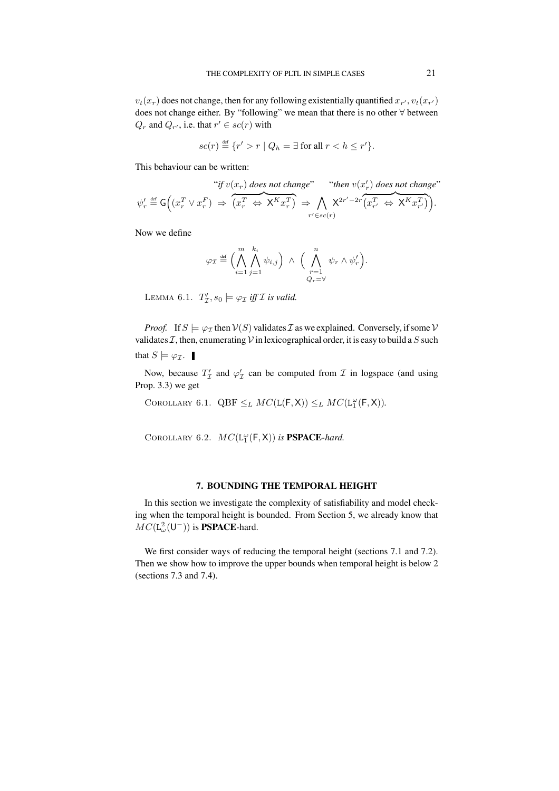$v_t(x_r)$  does not change, then for any following existentially quantified  $x_{r'}, v_t(x_{r'})$ does not change either. By "following" we mean that there is no other ∀ between  $Q_r$  and  $Q_{r'}$ , i.e. that  $r' \in sc(r)$  with

$$
sc(r) \stackrel{\text{def}}{=} \{r' > r \mid Q_h = \exists \text{ for all } r < h \le r'\}.
$$

This behaviour can be written:

$$
\psi'_r \stackrel{\text{def}}{=} \mathsf{G}\Big((x_r^T \vee x_r^F) \Rightarrow \overbrace{(x_r^T \Leftrightarrow \mathsf{X}^K x_r^T)}^{i^*} \Rightarrow \bigwedge_{r' \in sc(r)} \mathsf{X}^{2r'-2r} \overbrace{(x_{r'}^T \Leftrightarrow \mathsf{X}^K x_{r'}^T)}^{i^*} \Big).
$$

Now we define

$$
\varphi_{\mathcal{I}} \stackrel{\text{\tiny def}}{=} \Big( \bigwedge_{i=1}^{m} \bigwedge_{j=1}^{k_i} \psi_{i,j} \Big) \ \wedge \ \Big( \bigwedge_{\substack{r=1 \\ Q_r = \forall}}^{n} \psi_r \wedge \psi'_r \Big).
$$

LEMMA 6.1.  $T'_{\mathcal{I}}, s_0 \models \varphi_{\mathcal{I}} \text{ iff } \mathcal{I} \text{ is valid.}$ 

*Proof.* If  $S \models \varphi_{\mathcal{I}}$  then  $V(S)$  validates  $\mathcal{I}$  as we explained. Conversely, if some  $V$ validates  $\mathcal{I}$ , then, enumerating  $\mathcal{V}$  in lexicographical order, it is easy to build a S such that  $S \models \varphi_{\mathcal{I}}$ .

Now, because  $T'_\mathcal{I}$  and  $\varphi'_\mathcal{I}$  can be computed from  $\mathcal{I}$  in logspace (and using Prop. 3.3) we get

COROLLARY 6.1.  $QBF \leq_L MC(\mathsf{L}(\mathsf{F},\mathsf{X})) \leq_L MC(\mathsf{L}_1^{\omega}(\mathsf{F},\mathsf{X})).$ 

COROLLARY 6.2.  $MC(L_1^{\omega}(F, X))$  is **PSPACE**-hard.

## **7. BOUNDING THE TEMPORAL HEIGHT**

In this section we investigate the complexity of satisfiability and model checking when the temporal height is bounded. From Section 5, we already know that  $MC(\mathsf{L}^2_\omega(\mathsf{U}^-))$  is **PSPACE**-hard.

We first consider ways of reducing the temporal height (sections 7.1 and 7.2). Then we show how to improve the upper bounds when temporal height is below 2 (sections 7.3 and 7.4).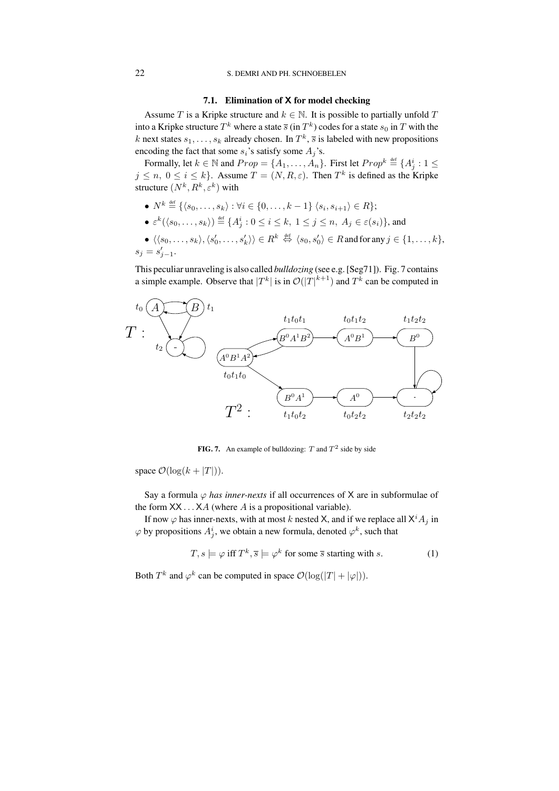## 22 S. DEMRI AND PH. SCHNOEBELEN

## **7.1. Elimination of** X **for model checking**

Assume T is a Kripke structure and  $k \in \mathbb{N}$ . It is possible to partially unfold T into a Kripke structure  $T^k$  where a state  $\overline{s}$  (in  $T^k$ ) codes for a state  $s_0$  in  $T$  with the k next states  $s_1, \ldots, s_k$  already chosen. In  $T^k$ ,  $\overline{s}$  is labeled with new propositions encoding the fact that some  $s_i$ 's satisfy some  $A_j$ 's.

Formally, let  $k \in \mathbb{N}$  and  $Prop = \{A_1, \ldots, A_n\}$ . First let  $Prop^k \stackrel{\text{def}}{=} \{A_j^i : 1 \leq j \leq n \}$  $j \leq n, 0 \leq i \leq k$ . Assume  $T = (N, R, \varepsilon)$ . Then  $T^k$  is defined as the Kripke structure  $(N^k, R^k, \varepsilon^k)$  with

- $N^k \stackrel{\text{def}}{=} \{\langle s_0, \ldots, s_k \rangle : \forall i \in \{0, \ldots, k-1\} \langle s_i, s_{i+1} \rangle \in R \};$
- $\bullet \varepsilon^k(\langle s_0,\ldots,s_k\rangle)\hbox{\small{$\;\stackrel{\text{def}}{=}\;$}} \{A_j^i: 0\leq i\leq k,\ 1\leq j\leq n,\ A_j\in\varepsilon(s_i)\},$  and
- $\bullet \ \langle \langle s_0, \ldots, s_k \rangle, \langle s_0', \ldots, s_k' \rangle \rangle \in R^k \stackrel{\text{def}}{\Leftrightarrow} \langle s_0, s_0' \rangle \in R$  and for any  $j \in \{1, \ldots, k\},$  $s_j = s'_{j-1}.$

This peculiar unraveling is also called *bulldozing* (see e.g.[Seg71]). Fig. 7 contains a simple example. Observe that  $|T^k|$  is in  $\mathcal{O}(|T|^{k+1})$  and  $T^k$  can be computed in



**FIG. 7.** An example of bulldozing:  $T$  and  $T^2$  side by side

space  $\mathcal{O}(\log(k + |T|)).$ 

Say a formula  $\varphi$  *has inner-nexts* if all occurrences of X are in subformulae of the form  $XX \dots XA$  (where A is a propositional variable).

If now  $\varphi$  has inner-nexts, with at most k nested X, and if we replace all  $X^i A_j$  in  $\varphi$  by propositions  $A^i_j,$  we obtain a new formula, denoted  $\varphi^k,$  such that

$$
T, s \models \varphi \text{ iff } T^k, \overline{s} \models \varphi^k \text{ for some } \overline{s} \text{ starting with } s. \tag{1}
$$

Both  $T^k$  and  $\varphi^k$  can be computed in space  $\mathcal{O}(\log(|T| + |\varphi|)).$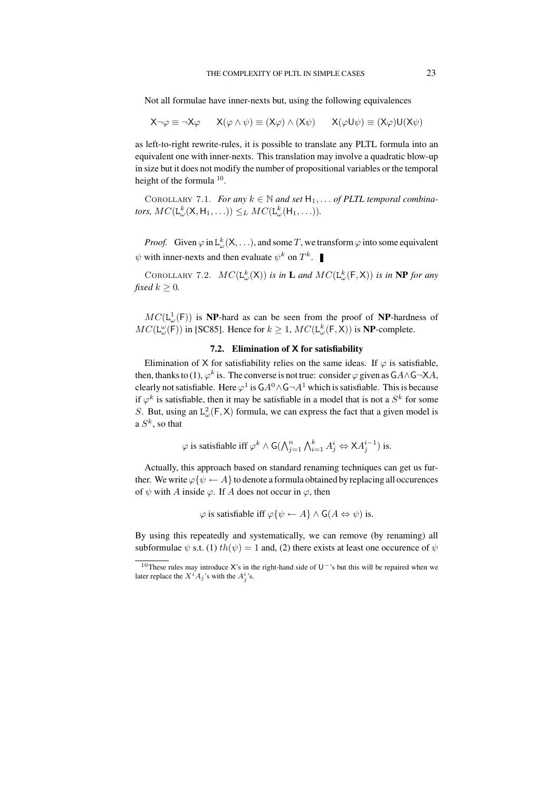Not all formulae have inner-nexts but, using the following equivalences

$$
X\neg\varphi \equiv \neg X\varphi \qquad X(\varphi \wedge \psi) \equiv (X\varphi) \wedge (X\psi) \qquad X(\varphi U\psi) \equiv (X\varphi)U(X\psi)
$$

as left-to-right rewrite-rules, it is possible to translate any PLTL formula into an equivalent one with inner-nexts. This translation may involve a quadratic blow-up in size but it does not modify the number of propositional variables or the temporal height of the formula <sup>10</sup>.

COROLLARY 7.1. *For any*  $k \in \mathbb{N}$  *and set*  $H_1, \ldots$  *of PLTL temporal combina*tors,  $MC(\mathsf{L}_{\omega}^k(\mathsf{X},\mathsf{H}_1,\ldots)) \leq_L MC(\mathsf{L}_{\omega}^k(\mathsf{H}_1,\ldots)).$ 

*Proof.* Given  $\varphi$  in  $L_{\omega}^{k}(X, \ldots)$ , and some T, we transform  $\varphi$  into some equivalent  $\psi$  with inner-nexts and then evaluate  $\psi^k$  on  $T^k$ .

COROLLARY 7.2.  $MC(L_{\omega}^{k}(X))$  *is in* **L** and  $MC(L_{\omega}^{k}(F, X))$  *is in* **NP** *for any fixed*  $k > 0$ *.* 

 $MC(L^1_\omega(\mathsf{F}))$  is **NP**-hard as can be seen from the proof of **NP**-hardness of  $MC(\mathsf{L}_{\omega}^{\omega}(\mathsf{F}))$  in [SC85]. Hence for  $k \geq 1$ ,  $MC(\mathsf{L}_{\omega}^{k}(\mathsf{F},\mathsf{X}))$  is **NP**-complete.

## **7.2. Elimination of** X **for satisfiability**

Elimination of X for satisfiability relies on the same ideas. If  $\varphi$  is satisfiable, then, thanks to (1),  $\varphi^k$  is. The converse is not true: consider  $\varphi$  given as  $GA \wedge G \rightarrow X \wedge A$ , clearly not satisfiable. Here  $\varphi^1$  is  $\mathsf{G} A^0 \wedge \mathsf{G} \neg A^1$  which is satisfiable. This is because if  $\varphi^k$  is satisfiable, then it may be satisfiable in a model that is not a  $S^k$  for some S. But, using an  $L^2_{\omega}(\mathsf{F}, \mathsf{X})$  formula, we can express the fact that a given model is a  $S^k$ , so that

$$
\varphi \text{ is satisfiable iff } \varphi^k \land \mathsf{G}(\bigwedge_{j=1}^n \bigwedge_{i=1}^k A_j^i \Leftrightarrow \mathsf{X} A_j^{i-1}) \text{ is.}
$$

Actually, this approach based on standard renaming techniques can get us further. We write  $\varphi\{\psi \leftarrow A\}$  to denote a formula obtained by replacing all occurences of  $\psi$  with A inside  $\varphi$ . If A does not occur in  $\varphi$ , then

$$
\varphi
$$
 is satisfiable iff  $\varphi\{\psi \leftarrow A\} \wedge G(A \Leftrightarrow \psi)$  is.

By using this repeatedly and systematically, we can remove (by renaming) all subformulae  $\psi$  s.t. (1)  $th(\psi) = 1$  and, (2) there exists at least one occurence of  $\psi$ 

<sup>&</sup>lt;sup>10</sup>These rules may introduce X's in the right-hand side of U<sup>-</sup>'s but this will be repaired when we later replace the  $X^i A_j$ 's with the  $A_j^i$ 's.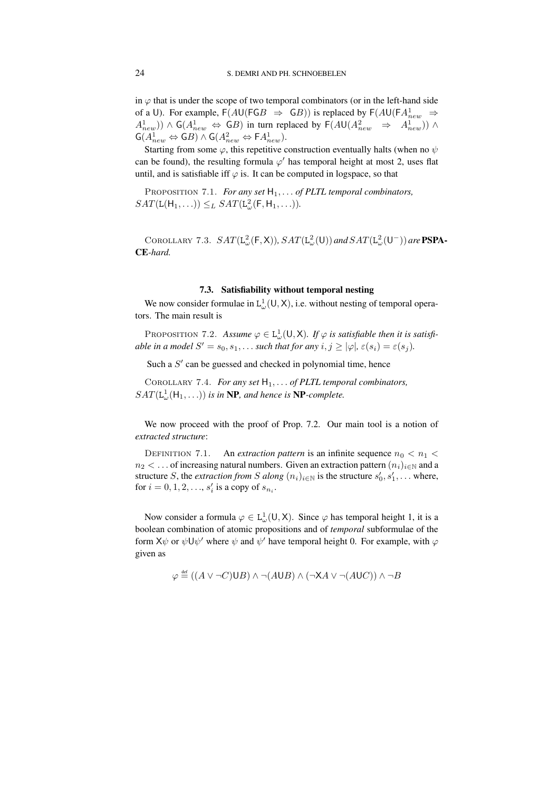in  $\varphi$  that is under the scope of two temporal combinators (or in the left-hand side of a U). For example,  $F(AU(FGB \Rightarrow GB))$  is replaced by  $F(AU(FA_{new}^1 \Rightarrow$  $(A_{new}^1)$ ) ∧ G( $A_{new}^1$   $\Leftrightarrow$  GB) in turn replaced by F( $AU(A_{new}^2$   $\Rightarrow$   $A_{new}^1$ )) ∧  $\mathsf{G}(A_{new}^1 \Leftrightarrow \mathsf{G}B) \wedge \mathsf{G}(A_{new}^2 \Leftrightarrow \mathsf{F}A_{new}^1).$ 

Starting from some  $\varphi$ , this repetitive construction eventually halts (when no  $\psi$ can be found), the resulting formula  $\varphi'$  has temporal height at most 2, uses flat until, and is satisfiable iff  $\varphi$  is. It can be computed in logspace, so that

Proposition 7.1. *For any set* H1, . . . *of PLTL temporal combinators,*  $SAT(L(H_1, \ldots)) \leq_L SAT(L^2_{\omega}(F, H_1, \ldots)).$ 

COROLLARY 7.3.  $SAT(L_{\omega}^{2}(F, X)), SAT(L_{\omega}^{2}(U))$  and  $SAT(L_{\omega}^{2}(U^{-}))$  are **PSPA**-**CE***-hard.*

## **7.3. Satisfiability without temporal nesting**

We now consider formulae in  $L^1_\omega(U,X)$ , i.e. without nesting of temporal operators. The main result is

PROPOSITION 7.2. Assume  $\varphi \in L^1_{\omega}(U,X)$ . If  $\varphi$  is satisfiable then it is satisfi*able* in a model  $S' = s_0, s_1, \ldots$  *such that for any*  $i, j \ge |\varphi|$ *,*  $\varepsilon(s_i) = \varepsilon(s_j)$ *.* 

Such a  $S'$  can be guessed and checked in polynomial time, hence

COROLLARY 7.4. *For any set*  $H_1, \ldots$  *of PLTL temporal combinators,*  $SAT(\mathsf{L}_{\omega}^1(\mathsf{H}_1, \ldots))$  *is in* **NP***, and hence is* **NP***-complete.* 

We now proceed with the proof of Prop. 7.2. Our main tool is a notion of *extracted structure*:

DEFINITION 7.1. An *extraction pattern* is an infinite sequence  $n_0 < n_1 <$  $n_2 < \dots$  of increasing natural numbers. Given an extraction pattern  $(n_i)_{i \in \mathbb{N}}$  and a structure S, the *extraction from* S along  $(n_i)_{i \in \mathbb{N}}$  is the structure  $s'_0, s'_1, \ldots$  where, for  $i = 0, 1, 2, ..., s'_{i}$  is a copy of  $s_{n_{i}}$ .

Now consider a formula  $\varphi \in L^1_{\omega}(\mathsf{U}, \mathsf{X})$ . Since  $\varphi$  has temporal height 1, it is a boolean combination of atomic propositions and of *temporal* subformulae of the form  $X\psi$  or  $\psi U\psi'$  where  $\psi$  and  $\psi'$  have temporal height 0. For example, with  $\varphi$ given as

$$
\varphi \stackrel{\text{def}}{=} ((A \lor \neg C) \cup B) \land \neg (A \cup B) \land (\neg \mathsf{X} A \lor \neg (A \cup C)) \land \neg B
$$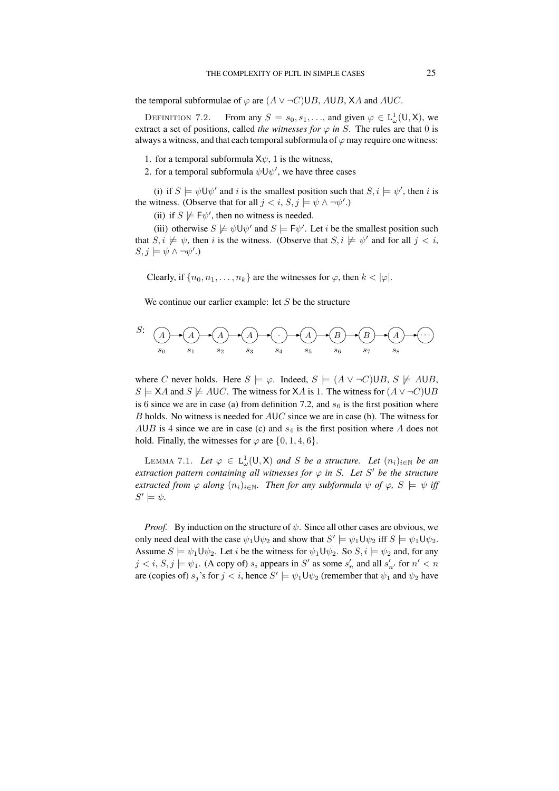the temporal subformulae of  $\varphi$  are  $(A \vee \neg C) \cup B$ , AUB, XA and AUC.

DEFINITION 7.2. From any  $S = s_0, s_1, \dots$ , and given  $\varphi \in L^1_{\omega}(U, X)$ , we extract a set of positions, called *the witnesses for*  $\varphi$  *in* S. The rules are that 0 is always a witness, and that each temporal subformula of  $\varphi$  may require one witness:

- 1. for a temporal subformula  $X\psi$ , 1 is the witness,
- 2. for a temporal subformula  $\psi \cup \psi'$ , we have three cases

(i) if  $S \models \psi \cup \psi'$  and i is the smallest position such that  $S, i \models \psi'$ , then i is the witness. (Observe that for all  $j < i$ ,  $S, j \models \psi \land \neg \psi'.$ )

(ii) if  $S \not\models F\psi'$ , then no witness is needed.

(iii) otherwise  $S \not\models \psi \cup \psi'$  and  $S \models F\psi'$ . Let *i* be the smallest position such that  $S, i \not\models \psi$ , then i is the witness. (Observe that  $S, i \not\models \psi'$  and for all  $j < i$ ,  $S, j \models \psi \land \neg \psi'.$ 

Clearly, if  $\{n_0, n_1, \ldots, n_k\}$  are the witnesses for  $\varphi$ , then  $k < |\varphi|$ .

We continue our earlier example: let  $S$  be the structure



where C never holds. Here  $S \models \varphi$ . Indeed,  $S \models (A \lor \neg C) \cup B$ ,  $S \not\models A \cup B$ ,  $S \models \mathsf{X}A$  and  $S \not\models \mathsf{AUC}$ . The witness for  $\mathsf{X}A$  is 1. The witness for  $(A \vee \neg C) \cup B$ is 6 since we are in case (a) from definition 7.2, and  $s_6$  is the first position where  $B$  holds. No witness is needed for  $AUC$  since we are in case (b). The witness for AUB is 4 since we are in case (c) and  $s_4$  is the first position where A does not hold. Finally, the witnesses for  $\varphi$  are  $\{0, 1, 4, 6\}$ .

LEMMA 7.1. Let  $\varphi \in L^1_{\omega}(\mathsf{U}, \mathsf{X})$  and S be a structure. Let  $(n_i)_{i \in \mathbb{N}}$  be an *extraction* pattern *containing* all witnesses for  $\varphi$  in S. Let S' be the structure *extracted from*  $\varphi$  *along*  $(n_i)_{i \in \mathbb{N}}$ *. Then for any subformula*  $\psi$  *of*  $\varphi$ *,*  $S \models \psi$  *iff*  $S' \models \psi$ .

*Proof.* By induction on the structure of  $\psi$ . Since all other cases are obvious, we only need deal with the case  $\psi_1 \mathsf{U} \psi_2$  and show that  $S' \models \psi_1 \mathsf{U} \psi_2$  iff  $S \models \psi_1 \mathsf{U} \psi_2$ . Assume  $S \models \psi_1 \cup \psi_2$ . Let *i* be the witness for  $\psi_1 \cup \psi_2$ . So  $S, i \models \psi_2$  and, for any  $j < i$ ,  $S, j \models \psi_1$ . (A copy of)  $s_i$  appears in S' as some  $s'_n$  and all  $s'_{n'}$  for  $n' < n$ are (copies of)  $s_j$ 's for  $j < i$ , hence  $S' \models \psi_1 \mathsf{U} \psi_2$  (remember that  $\psi_1$  and  $\psi_2$  have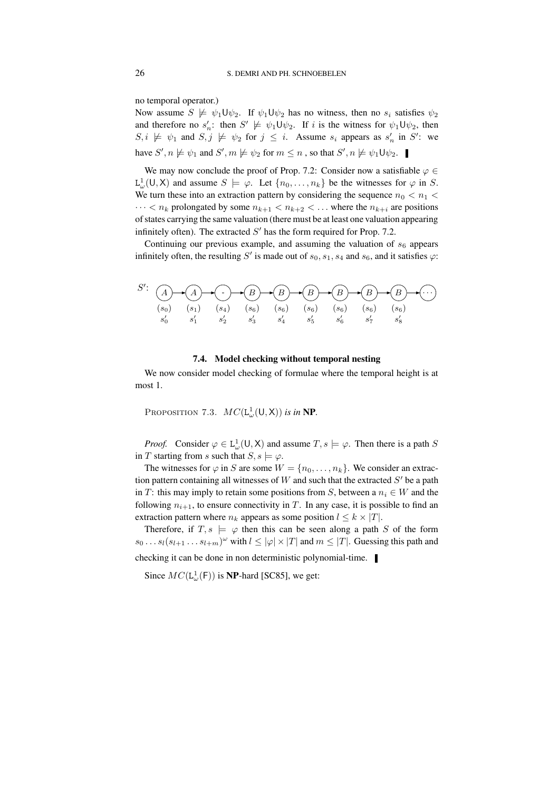no temporal operator.)

Now assume  $S \not\models \psi_1 \cup \psi_2$ . If  $\psi_1 \cup \psi_2$  has no witness, then no  $s_i$  satisfies  $\psi_2$ and therefore no  $s'_n$ : then  $S' \not\models \psi_1 \cup \psi_2$ . If i is the witness for  $\psi_1 \cup \psi_2$ , then  $S, i \not\models \psi_1$  and  $S, j \not\models \psi_2$  for  $j \leq i$ . Assume  $s_i$  appears as  $s'_n$  in  $S'$ : we have  $S', n \not\models \psi_1$  and  $S', m \not\models \psi_2$  for  $m \leq n$  , so that  $S', n \not\models \psi_1 \mathsf{U} \psi_2$ .

We may now conclude the proof of Prop. 7.2: Consider now a satisfiable  $\varphi \in$  $L^1_\omega(U, X)$  and assume  $S \models \varphi$ . Let  $\{n_0, \ldots, n_k\}$  be the witnesses for  $\varphi$  in S. We turn these into an extraction pattern by considering the sequence  $n_0 < n_1 <$  $\cdots < n_k$  prolongated by some  $n_{k+1} < n_{k+2} < \dots$  where the  $n_{k+i}$  are positions of states carrying the same valuation (there must be at least one valuation appearing infinitely often). The extracted  $S'$  has the form required for Prop. 7.2.

Continuing our previous example, and assuming the valuation of  $s<sub>6</sub>$  appears infinitely often, the resulting S' is made out of  $s_0, s_1, s_4$  and  $s_6$ , and it satisfies  $\varphi$ :



## **7.4. Model checking without temporal nesting**

We now consider model checking of formulae where the temporal height is at most 1.

PROPOSITION 7.3.  $MC(\mathsf{L}_{\omega}^{1}(\mathsf{U}, \mathsf{X}))$  *is in* **NP**.

*Proof.* Consider  $\varphi \in L^1_{\omega}(U, X)$  and assume  $T, s \models \varphi$ . Then there is a path S in T starting from s such that  $S, s \models \varphi$ .

The witnesses for  $\varphi$  in S are some  $W = \{n_0, \ldots, n_k\}$ . We consider an extraction pattern containing all witnesses of  $W$  and such that the extracted  $S'$  be a path in T: this may imply to retain some positions from S, between a  $n_i \in W$  and the following  $n_{i+1}$ , to ensure connectivity in T. In any case, it is possible to find an extraction pattern where  $n_k$  appears as some position  $l \leq k \times |T|$ .

Therefore, if  $T, s \models \varphi$  then this can be seen along a path S of the form  $s_0 \dots s_l(s_{l+1} \dots s_{l+m})^\omega$  with  $l \leq |\varphi| \times |T|$  and  $m \leq |T|$ . Guessing this path and

checking it can be done in non deterministic polynomial-time.

Since  $MC(\mathsf{L}^1_\omega(\mathsf{F}))$  is **NP**-hard [SC85], we get: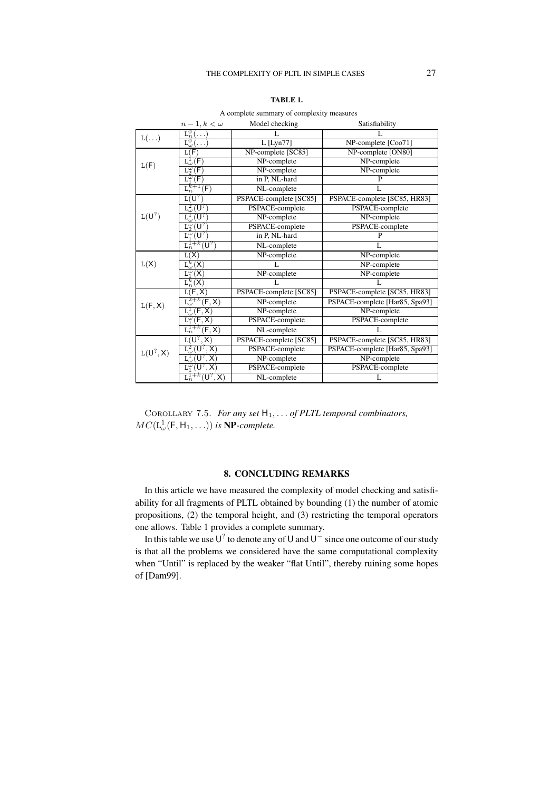| BI<br>г.<br>ч.<br>ш |  |
|---------------------|--|
|---------------------|--|

 $n-1, k < \omega$  Model checking Satisfiability  $L(\ldots)$  $L^0$  $\mathcal{L}$  L L L L 0  $L_{\omega}^{0}$  L [Lyn77] NP-complete [Coo71]<br>  $L(F)$  NP-complete [SC85] NP-complete [ON80]  $L(F)$ complete [SC85] NP-complete [ON80]<br>
NP-complete NP-complete  $\overline{\mathrm{L}}^1$ NP-complete<br>NP-complete  $\mathsf{L}_2^{\widetilde{\omega}}$ NP-complete  $_{\rm L_1^{\omega}}$ in P, NL-hard P  $L_n^k$  $f^+1(F)$ NL-complete L  $\mathtt{L}(\mathsf{U}^? )$  $L(U^?)$ ) PSPACE-complete [SC85] PSPACE-complete [SC85, HR83]  $\mathtt{L}^2_\omega(\dot{\mathsf{U}}^?$ PSPACE-complete PSPACE-complete  $\mathtt{L}^1_\omega(\mathsf{U}^?$ ) NP-complete NP-complete  $L_2^{\omega}(U)$ ) PSPACE-complete PSPACE-complete  $\mathtt{L}^{\boldsymbol{\bar{\omega}}}_1(\mathsf{U}^?$  $\overline{p}$  in P, NL-hard P  ${\tt L}_n^{{\tilde{\bf I}}+k}({\sf U}^?$ ) NL-complete L  $L(X)$ L(X) NP-complete NP-complete  $\mathbf{L}^k$ L<br>
MP-complete<br>
NP-complete<br>
NP-complete  $\frac{\overline{\mathbf{L}}_1^{\overline{\omega}}}{\mathbf{L}^k}$ NP-complete  $\frac{k}{n}$ (X) L L  $L(F, X)$ L(F, X) PSPACE-complete [SC85] PSPACE-complete [SC85, HR83]  $L^{2+k}$ NP-complete PSPACE-complete [Har85, Spa93]  $\overline{\mathrm{L}^1}$ NP-complete<br>
PACE-complete<br>
PSPACE-complete<br>
PSPACE-complete  $\overline{\mathbb{L}_1^{\tilde{\omega}}}$ PSPACE-complete  $L_n^{\overline{1}+k}$ NL-complete L  $L(U^?, X)$  $L(U^?, X)$ PSPACE-complete [SC85] | PSPACE-complete [SC85, HR83]  $\mathtt{L}^2_\omega(\mathsf{U}^?$ PSPACE-complete | PSPACE-complete [Har85, Spa93]  $\frac{\mathtt{L}^1_\omega(\mathtt{U}^?}{\mathtt{L}^\omega_1(\mathtt{U}^?}$ MP-complete<br>
PACE-complete<br>
PSPACE-complete<br>
PSPACE-complete PSPACE-complete  ${\tt L}_n^{{\tilde{\bf I}}+k}({\sf U}^?$ NL-complete L

A complete summary of complexity measures

Corollary 7.5. *For any set* H1, . . . *of PLTL temporal combinators,*  $MC(\mathsf{L}_{\omega}^1(\mathsf{F},\mathsf{H}_1,\ldots))$  is **NP**-complete.

#### **8. CONCLUDING REMARKS**

In this article we have measured the complexity of model checking and satisfiability for all fragments of PLTL obtained by bounding (1) the number of atomic propositions, (2) the temporal height, and (3) restricting the temporal operators one allows. Table 1 provides a complete summary.

In this table we use  $U^?$  to denote any of U and  $U^-$  since one outcome of our study is that all the problems we considered have the same computational complexity when "Until" is replaced by the weaker "flat Until", thereby ruining some hopes of [Dam99].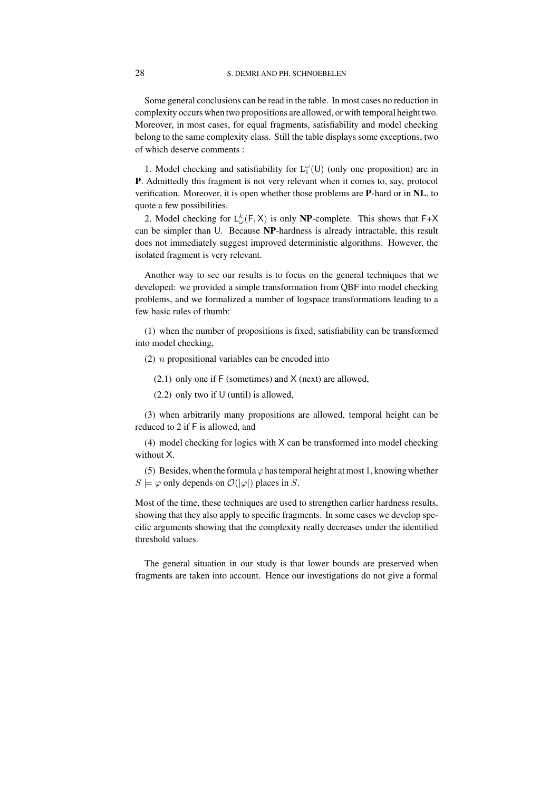### 28 S. DEMRI AND PH. SCHNOEBELEN

Some general conclusions can be read in the table. In most cases no reduction in complexity occurs when two propositions are allowed, or with temporal height two. Moreover, in most cases, for equal fragments, satisfiability and model checking belong to the same complexity class. Still the table displays some exceptions, two of which deserve comments :

1. Model checking and satisfiability for  $L_1^{\omega}(U)$  (only one proposition) are in **P**. Admittedly this fragment is not very relevant when it comes to, say, protocol verification. Moreover, it is open whether those problems are **P**-hard or in **NL**, to quote a few possibilities.

2. Model checking for  $L_{\omega}^{k}(F, X)$  is only **NP**-complete. This shows that  $F+X$ can be simpler than U. Because **NP**-hardness is already intractable, this result does not immediately suggest improved deterministic algorithms. However, the isolated fragment is very relevant.

Another way to see our results is to focus on the general techniques that we developed: we provided a simple transformation from QBF into model checking problems, and we formalized a number of logspace transformations leading to a few basic rules of thumb:

(1) when the number of propositions is fixed, satisfiability can be transformed into model checking,

- (2)  $n$  propositional variables can be encoded into
	- $(2.1)$  only one if F (sometimes) and X (next) are allowed,
	- $(2.2)$  only two if U (until) is allowed,

(3) when arbitrarily many propositions are allowed, temporal height can be reduced to 2 if F is allowed, and

(4) model checking for logics with X can be transformed into model checking without X.

(5) Besides, when the formula  $\varphi$  has temporal height at most 1, knowing whether  $S \models \varphi$  only depends on  $\mathcal{O}(|\varphi|)$  places in S.

Most of the time, these techniques are used to strengthen earlier hardness results, showing that they also apply to specific fragments. In some cases we develop specific arguments showing that the complexity really decreases under the identified threshold values.

The general situation in our study is that lower bounds are preserved when fragments are taken into account. Hence our investigations do not give a formal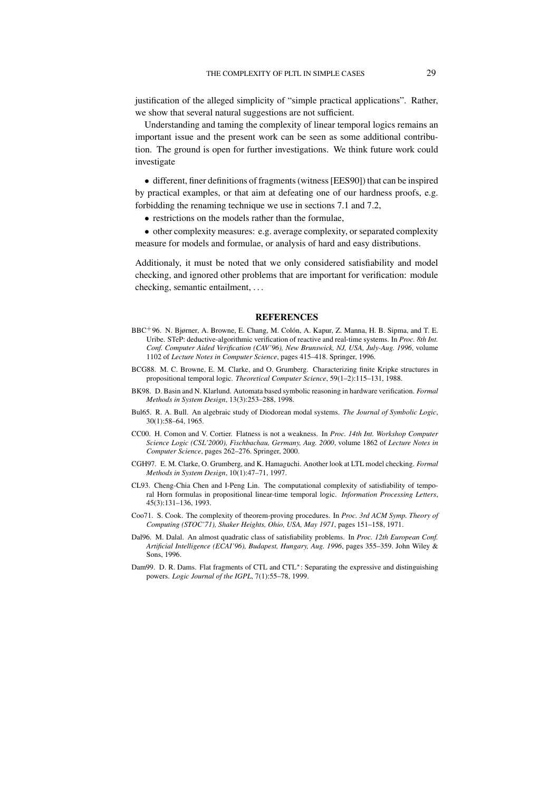justification of the alleged simplicity of "simple practical applications". Rather, we show that several natural suggestions are not sufficient.

Understanding and taming the complexity of linear temporal logics remains an important issue and the present work can be seen as some additional contribution. The ground is open for further investigations. We think future work could investigate

• different, finer definitions of fragments (witness [EES90]) that can be inspired by practical examples, or that aim at defeating one of our hardness proofs, e.g. forbidding the renaming technique we use in sections 7.1 and 7.2,

• restrictions on the models rather than the formulae,

• other complexity measures: e.g. average complexity, or separated complexity measure for models and formulae, or analysis of hard and easy distributions.

Additionaly, it must be noted that we only considered satisfiability and model checking, and ignored other problems that are important for verification: module checking, semantic entailment, . . .

#### **REFERENCES**

- BBC+96. N. Bjørner, A. Browne, E. Chang, M. Colón, A. Kapur, Z. Manna, H. B. Sipma, and T. E. Uribe. STeP: deductive-algorithmic verification of reactive and real-time systems. In *Proc. 8th Int. Conf. Computer Aided Verification (CAV'96), New Brunswick, NJ, USA, July-Aug. 1996*, volume 1102 of *Lecture Notes in Computer Science*, pages 415–418. Springer, 1996.
- BCG88. M. C. Browne, E. M. Clarke, and O. Grumberg. Characterizing finite Kripke structures in propositional temporal logic. *Theoretical Computer Science*, 59(1–2):115–131, 1988.
- BK98. D. Basin and N. Klarlund. Automata based symbolic reasoning in hardware verification. *Formal Methods in System Design*, 13(3):253–288, 1998.
- Bul65. R. A. Bull. An algebraic study of Diodorean modal systems. *The Journal of Symbolic Logic*, 30(1):58–64, 1965.
- CC00. H. Comon and V. Cortier. Flatness is not a weakness. In *Proc. 14th Int. Workshop Computer Science Logic (CSL'2000), Fischbachau, Germany, Aug. 2000*, volume 1862 of *Lecture Notes in Computer Science*, pages 262–276. Springer, 2000.
- CGH97. E. M. Clarke, O. Grumberg, and K. Hamaguchi. Another look at LTL model checking. *Formal Methods in System Design*, 10(1):47–71, 1997.
- CL93. Cheng-Chia Chen and I-Peng Lin. The computational complexity of satisfiability of temporal Horn formulas in propositional linear-time temporal logic. *Information Processing Letters*, 45(3):131–136, 1993.
- Coo71. S. Cook. The complexity of theorem-proving procedures. In *Proc. 3rd ACM Symp. Theory of Computing (STOC'71), Shaker Heights, Ohio, USA, May 1971*, pages 151–158, 1971.
- Dal96. M. Dalal. An almost quadratic class of satisfiability problems. In *Proc. 12th European Conf. Artificial Intelligence (ECAI'96), Budapest, Hungary, Aug. 1996*, pages 355–359. John Wiley & Sons, 1996.
- Dam99. D. R. Dams. Flat fragments of CTL and CTL∗: Separating the expressive and distinguishing powers. *Logic Journal of the IGPL*, 7(1):55–78, 1999.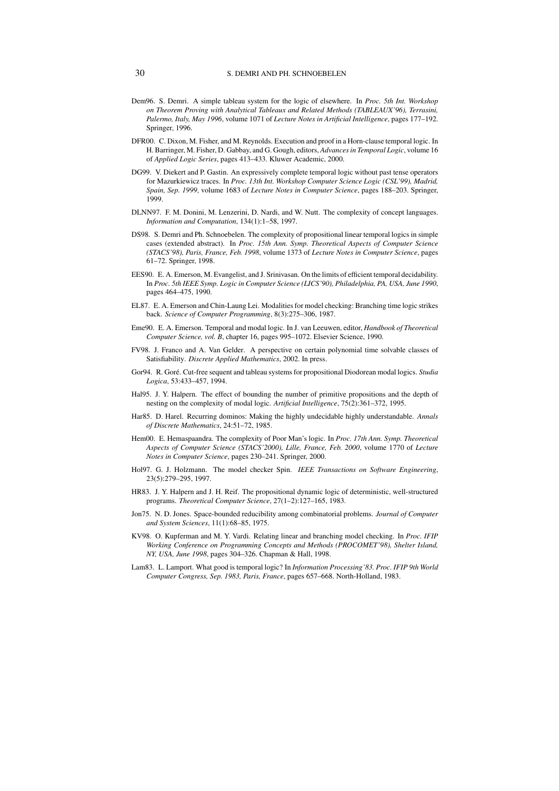#### 30 S. DEMRI AND PH. SCHNOEBELEN

- Dem96. S. Demri. A simple tableau system for the logic of elsewhere. In *Proc. 5th Int. Workshop on Theorem Proving with Analytical Tableaux and Related Methods (TABLEAUX'96), Terrasini, Palermo, Italy, May 1996*, volume 1071 of *Lecture Notes in Artificial Intelligence*, pages 177–192. Springer, 1996.
- DFR00. C. Dixon, M. Fisher, and M. Reynolds. Execution and proof in a Horn-clause temporal logic. In H. Barringer, M. Fisher, D. Gabbay, and G. Gough, editors, *Advancesin Temporal Logic*, volume 16 of *Applied Logic Series*, pages 413–433. Kluwer Academic, 2000.
- DG99. V. Diekert and P. Gastin. An expressively complete temporal logic without past tense operators for Mazurkiewicz traces. In *Proc. 13th Int. Workshop Computer Science Logic (CSL'99), Madrid, Spain, Sep. 1999*, volume 1683 of *Lecture Notes in Computer Science*, pages 188–203. Springer, 1999.
- DLNN97. F. M. Donini, M. Lenzerini, D. Nardi, and W. Nutt. The complexity of concept languages. *Information and Computation*, 134(1):1–58, 1997.
- DS98. S. Demri and Ph. Schnoebelen. The complexity of propositional linear temporal logics in simple cases (extended abstract). In *Proc. 15th Ann. Symp. Theoretical Aspects of Computer Science (STACS'98), Paris, France, Feb. 1998*, volume 1373 of *Lecture Notes in Computer Science*, pages 61–72. Springer, 1998.
- EES90. E. A. Emerson, M. Evangelist, and J. Srinivasan. On the limits of efficient temporal decidability. In *Proc. 5th IEEE Symp. Logic in Computer Science (LICS'90), Philadelphia, PA, USA, June 1990*, pages 464–475, 1990.
- EL87. E. A. Emerson and Chin-Laung Lei. Modalitiesfor model checking: Branching time logic strikes back. *Science of Computer Programming*, 8(3):275–306, 1987.
- Eme90. E. A. Emerson. Temporal and modal logic. In J. van Leeuwen, editor, *Handbook of Theoretical Computer Science, vol. B*, chapter 16, pages 995–1072. Elsevier Science, 1990.
- FV98. J. Franco and A. Van Gelder. A perspective on certain polynomial time solvable classes of Satisfiability. *Discrete Applied Mathematics*, 2002. In press.
- Gor94. R. Goré. Cut-free sequent and tableau systems for propositional Diodorean modal logics. *Studia Logica*, 53:433–457, 1994.
- Hal95. J. Y. Halpern. The effect of bounding the number of primitive propositions and the depth of nesting on the complexity of modal logic. *Artificial Intelligence*, 75(2):361–372, 1995.
- Har85. D. Harel. Recurring dominos: Making the highly undecidable highly understandable. *Annals of Discrete Mathematics*, 24:51–72, 1985.
- Hem00. E. Hemaspaandra. The complexity of Poor Man's logic. In *Proc. 17th Ann. Symp. Theoretical Aspects of Computer Science (STACS'2000), Lille, France, Feb. 2000*, volume 1770 of *Lecture Notes in Computer Science*, pages 230–241. Springer, 2000.
- Hol97. G. J. Holzmann. The model checker Spin. *IEEE Transactions on Software Engineering*, 23(5):279–295, 1997.
- HR83. J. Y. Halpern and J. H. Reif. The propositional dynamic logic of deterministic, well-structured programs. *Theoretical Computer Science*, 27(1–2):127–165, 1983.
- Jon75. N. D. Jones. Space-bounded reducibility among combinatorial problems. *Journal of Computer and System Sciences*, 11(1):68–85, 1975.
- KV98. O. Kupferman and M. Y. Vardi. Relating linear and branching model checking. In *Proc. IFIP Working Conference on Programming Concepts and Methods (PROCOMET'98), Shelter Island, NY, USA, June 1998*, pages 304–326. Chapman & Hall, 1998.
- Lam83. L. Lamport. What good is temporal logic? In *Information Processing'83. Proc. IFIP 9th World Computer Congress, Sep. 1983, Paris, France*, pages 657–668. North-Holland, 1983.